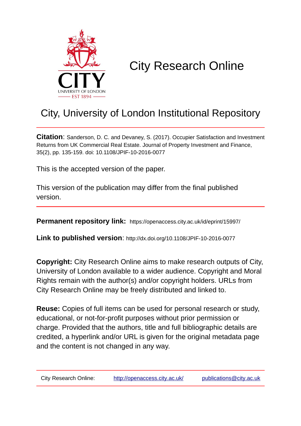

# City Research Online

# City, University of London Institutional Repository

**Citation**: Sanderson, D. C. and Devaney, S. (2017). Occupier Satisfaction and Investment Returns from UK Commercial Real Estate. Journal of Property Investment and Finance, 35(2), pp. 135-159. doi: 10.1108/JPIF-10-2016-0077

This is the accepted version of the paper.

This version of the publication may differ from the final published version.

**Permanent repository link:** https://openaccess.city.ac.uk/id/eprint/15997/

**Link to published version**: http://dx.doi.org/10.1108/JPIF-10-2016-0077

**Copyright:** City Research Online aims to make research outputs of City, University of London available to a wider audience. Copyright and Moral Rights remain with the author(s) and/or copyright holders. URLs from City Research Online may be freely distributed and linked to.

**Reuse:** Copies of full items can be used for personal research or study, educational, or not-for-profit purposes without prior permission or charge. Provided that the authors, title and full bibliographic details are credited, a hyperlink and/or URL is given for the original metadata page and the content is not changed in any way.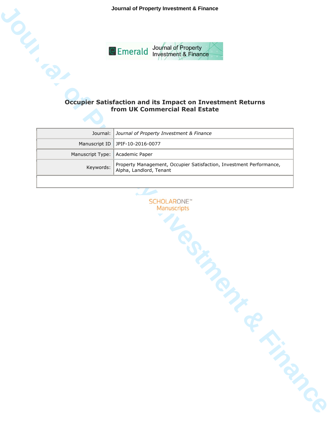**Journal of Property Investment & Finance**



# **from UK Commercial Real Estate**

|                                 | Journal: Journal of Property Investment & Finance                             |
|---------------------------------|-------------------------------------------------------------------------------|
|                                 | Manuscript ID   JPIF-10-2016-0077                                             |
| Manuscript Type: Academic Paper |                                                                               |
|                                 | Keywords: Property Management, Occupier Satisfaction, Investment Performance, |
|                                 |                                                                               |

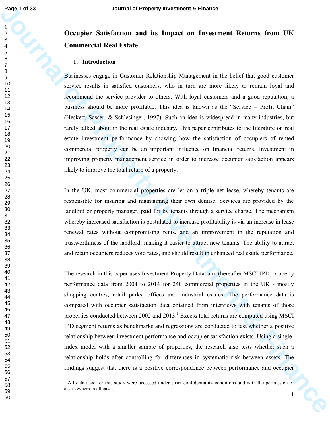# **Occupier Satisfaction and its Impact on Investment Returns from UK Commercial Real Estate**

### **1. Introduction**

Businesses engage in Customer Relationship Management in the belief that good customer service results in satisfied customers, who in turn are more likely to remain loyal and recommend the service provider to others. With loyal customers and a good reputation, a business should be more profitable. This idea is known as the "Service – Profit Chain" (Heskett, Sasser, & Schlesinger, 1997). Such an idea is widespread in many industries, but rarely talked about in the real estate industry. This paper contributes to the literature on real estate investment performance by showing how the satisfaction of occupiers of rented commercial property can be an important influence on financial returns. Investment in improving property management service in order to increase occupier satisfaction appears likely to improve the total return of a property.

In the UK, most commercial properties are let on a triple net lease, whereby tenants are responsible for insuring and maintaining their own demise. Services are provided by the landlord or property manager, paid for by tenants through a service charge. The mechanism whereby increased satisfaction is postulated to increase profitability is via an increase in lease renewal rates without compromising rents, and an improvement in the reputation and trustworthiness of the landlord, making it easier to attract new tenants. The ability to attract and retain occupiers reduces void rates, and should result in enhanced real estate performance.

**Page 1 of 33**<br> **Journal of Property Investment & Pinance**<br> **Journal of Property Satisfaction and its Transact on Tavestment Returns from UK<br>
<b>Commercial Retate**<br> **Journal of Latingation and its Transaction by the intermed** The research in this paper uses Investment Property Databank (hereafter MSCI IPD) property performance data from 2004 to 2014 for 240 commercial properties in the UK - mostly shopping centres, retail parks, offices and industrial estates. The performance data is compared with occupier satisfaction data obtained from interviews with tenants of those properties conducted between and  $2013$ .<sup>1</sup> Excess total returns are computed using MSCI IPD segment returns as benchmarks and regressions are conducted to test whether a positive relationship between investment performance and occupier satisfaction exists. Using a singleindex model with a smaller sample of properties, the research also tests whether such a relationship holds after controlling for differences in systematic risk between assets. The findings suggest that there is a positive correspondence between performance and occupier

<sup>&</sup>lt;sup>1</sup> All data used for this study were accessed under strict confidentiality conditions and with the permission of asset owners in all cases.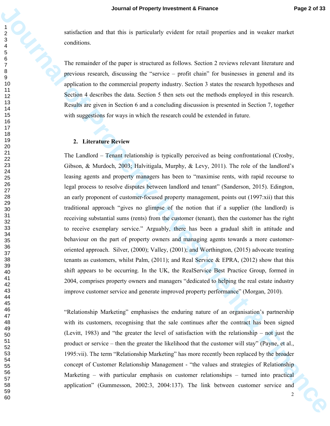satisfaction and that this is particularly evident for retail properties and in weaker market conditions.

The remainder of the paper is structured as follows. Section 2 reviews relevant literature and previous research, discussing the "service – profit chain" for businesses in general and its application to the commercial property industry. Section 3 states the research hypotheses and Section 4 describes the data. Section 5 then sets out the methods employed in this research. Results are given in Section 6 and a concluding discussion is presented in Section 7, together with suggestions for ways in which the research could be extended in future.

### **2. Literature Review**

**Journal of Property twentiment & Finance**<br> **Journal of Property is straightest** of radial properties and is weaker matter.<br> **Journal of the properties include Society 2** (with the result properties and is weaker matter.<br> The Landlord – Tenant relationship is typically perceived as being confrontational (Crosby, Gibson, & Murdoch, 2003; Halvitigala, Murphy, & Levy, 2011). The role of the landlord's leasing agents and property managers has been to "maximise rents, with rapid recourse to legal process to resolve disputes between landlord and tenant" (Sanderson, 2015). Edington, an early proponent of customer-focused property management, points out (1997:xii) that this traditional approach "gives no glimpse of the notion that if a supplier (the landlord) is receiving substantial sums (rents) from the customer (tenant), then the customer has the right to receive exemplary service." Arguably, there has been a gradual shift in attitude and behaviour on the part of property owners and managing agents towards a more customeroriented approach. Silver, (2000); Valley, (2001); and Worthington, (2015) advocate treating tenants as customers, whilst Palm, (2011); and Real Service & EPRA, (2012) show that this shift appears to be occurring. In the UK, the RealService Best Practice Group, formed in 2004, comprises property owners and managers "dedicated to helping the real estate industry improve customer service and generate improved property performance" (Morgan, 2010).

"Relationship Marketing" emphasises the enduring nature of an organisation's partnership with its customers, recognising that the sale continues after the contract has been signed (Levitt, 1983) and "the greater the level of satisfaction with the relationship – not just the product or service – then the greater the likelihood that the customer will stay" (Payne, et al., 1995:vii). The term "Relationship Marketing" has more recently been replaced by the broader concept of Customer Relationship Management - "the values and strategies of Relationship Marketing – with particular emphasis on customer relationships – turned into practical application" (Gummesson, 2002:3, 2004:137). The link between customer service and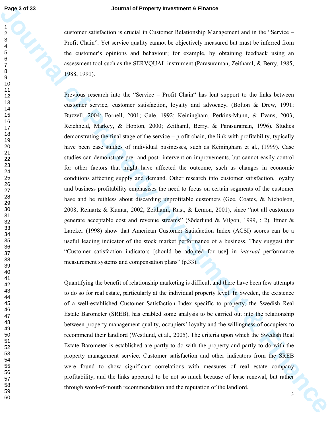#### **Page 3 of 33 Journal of Property Investment & Finance**

customer satisfaction is crucial in Customer Relationship Management and in the "Service – Profit Chain". Yet service quality cannot be objectively measured but must be inferred from the customer's opinions and behaviour; for example, by obtaining feedback using an assessment tool such as the SERVQUAL instrument (Parasuraman, Zeithaml, & Berry, 1985, 1988, 1991).

**Page 3 of 31**<br> **Journal of Property trendsheat R-Indeedock of Streets-**<br>
The Content of Streets-<br>
The Content Streets in the Universe Relationshead by measurement is the Patrick Compa<br>
Inc. Content The sections is optic Previous research into the "Service – Profit Chain" has lent support to the links between customer service, customer satisfaction, loyalty and advocacy, (Bolton & Drew, 1991; Buzzell, 2004; Fornell, 2001; Gale, 1992; Keiningham, Perkins-Munn, & Evans, 2003; Reichheld, Markey, & Hopton, 2000; Zeithaml, Berry, & Parasuraman, 1996). Studies demonstrating the final stage of the service – profit chain, the link with profitability, typically have been case studies of individual businesses, such as Keiningham et al., (1999). Case studies can demonstrate pre- and post- intervention improvements, but cannot easily control for other factors that might have affected the outcome, such as changes in economic conditions affecting supply and demand. Other research into customer satisfaction, loyalty and business profitability emphasises the need to focus on certain segments of the customer base and be ruthless about discarding unprofitable customers (Gee, Coates, & Nicholson, 2008; Reinartz & Kumar, 2002; Zeithaml, Rust, & Lemon, 2001), since "not all customers generate acceptable cost and revenue streams" (Söderlund & Vilgon, 1999, : 2). Ittner & Larcker (1998) show that American Customer Satisfaction Index (ACSI) scores can be a useful leading indicator of the stock market performance of a business. They suggest that "Customer satisfaction indicators [should be adopted for use] in *internal* performance measurement systems and compensation plans" (p.33).

Quantifying the benefit of relationship marketing is difficult and there have been few attempts to do so for real estate, particularly at the individual property level. In Sweden, the existence of a well-established Customer Satisfaction Index specific to property, the Swedish Real Estate Barometer (SREB), has enabled some analysis to be carried out into the relationship between property management quality, occupiers' loyalty and the willingness of occupiers to recommend their landlord (Westlund, et al., 2005). The criteria upon which the Swedish Real Estate Barometer is established are partly to do with the property and partly to do with the property management service. Customer satisfaction and other indicators from the SREB were found to show significant correlations with measures of real estate company profitability, and the links appeared to be not so much because of lease renewal, but rather through word-of-mouth recommendation and the reputation of the landlord.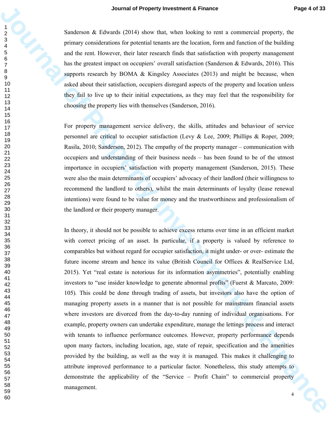Sanderson  $\&$  Edwards (2014) show that, when looking to rent a commercial property, the primary considerations for potential tenants are the location, form and function of the building and the rent. However, their later research finds that satisfaction with property management has the greatest impact on occupiers' overall satisfaction (Sanderson & Edwards, 2016). This supports research by BOMA & Kingsley Associates (2013) and might be because, when asked about their satisfaction, occupiers disregard aspects of the property and location unless they fail to live up to their initial expectations, as they may feel that the responsibility for choosing the property lies with themselves (Sanderson, 2016).

For property management service delivery, the skills, attitudes and behaviour of service personnel are critical to occupier satisfaction (Levy & Lee, 2009; Phillips & Roper, 2009; Rasila, 2010; Sanderson, 2012). The empathy of the property manager – communication with occupiers and understanding of their business needs – has been found to be of the utmost importance in occupiers' satisfaction with property management (Sanderson, 2015). These were also the main determinants of occupiers' advocacy of their landlord (their willingness to recommend the landlord to others), whilst the main determinants of loyalty (lease renewal intentions) were found to be value for money and the trustworthiness and professionalism of the landlord or their property manager.

**Journal of Property twentiment & Pinance**<br>**Journal of Property shows that a substitution in the sympathetical state of the sympathetical state of the sympathetical state of the sympathetical state of the sympathetical sta** In theory, it should not be possible to achieve excess returns over time in an efficient market with correct pricing of an asset. In particular, if a property is valued by reference to comparables but without regard for occupier satisfaction, it might under- or over- estimate the future income stream and hence its value (British Council for Offices & RealService Ltd, 2015). Yet "real estate is notorious for its information asymmetries", potentially enabling investors to "use insider knowledge to generate abnormal profits" (Fuerst & Marcato, 2009: 105)*.* This could be done through trading of assets, but investors also have the option of managing property assets in a manner that is not possible for mainstream financial assets where investors are divorced from the day-to-day running of individual organisations. For example, property owners can undertake expenditure, manage the lettings process and interact with tenants to influence performance outcomes. However, property performance depends upon many factors, including location, age, state of repair, specification and the amenities provided by the building, as well as the way it is managed. This makes it challenging to attribute improved performance to a particular factor. Nonetheless, this study attempts to demonstrate the applicability of the "Service – Profit Chain" to commercial property management.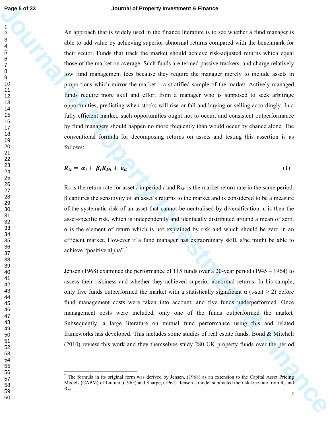**Page 5 et 31**<br> **Journal of Property trendominal & Finances**<br> **Journal of Property and in the finances literation is a seculated more property of the behaviour inferred with the model with the model with the model with th** An approach that is widely used in the finance literature is to see whether a fund manager is able to add value by achieving superior abnormal returns compared with the benchmark for their sector. Funds that track the market should achieve risk-adjusted returns which equal those of the market on average. Such funds are termed passive trackers, and charge relatively low fund management fees because they require the manager merely to include assets in proportions which mirror the market  $-$  a stratified sample of the market. Actively managed funds require more skill and effort from a manager who is supposed to seek arbitrage opportunities, predicting when stocks will rise or fall and buying or selling accordingly. In a fully efficient market, such opportunities ought not to occur, and consistent outperformance by fund managers should happen no more frequently than would occur by chance alone. The conventional formula for decomposing returns on assets and testing this assertion is as follows:

$$
R_{it} = \alpha_i + \beta_i R_{Mt} + \varepsilon_{it}
$$

 $\mathbf{t}$  (1)

 $R_{it}$  is the return rate for asset *i* in period *t* and  $R_{Mt}$  is the market return rate in the same period. β captures the sensitivity of an asset's returns to the market and is considered to be a measure of the systematic risk of an asset that cannot be neutralised by diversification. ε is then the asset-specific risk, which is independently and identically distributed around a mean of zero.  $\alpha$  is the element of return which is not explained by risk and which should be zero in an efficient market. However if a fund manager has extraordinary skill, s/he might be able to achieve "positive alpha".<sup>2</sup>

Jensen (1968) examined the performance of 115 funds over a 20-year period (1945 – 1964) to assess their riskiness and whether they achieved superior abnormal returns. In his sample, only five funds outperformed the market with a statistically significant  $\alpha$  (t-stat  $> 2$ ) before fund management costs were taken into account, and five funds underperformed. Once management costs were included, only one of the funds outperformed the market*.*  Subsequently, a large literature on mutual fund performance using this and related frameworks has developed. This includes some studies of real estate funds. Bond & Mitchell (2010) review this work and they themselves study 280 UK property funds over the period

 The formula in its original form was derived by Jensen, (1968) as an extension to the Capital Asset Pricing Models (CAPM) of Lintner, (1965) and Sharpe, (1964). Jensen's model subtracted the risk-free rate from R<sub>it</sub> and  $R_{Mt}$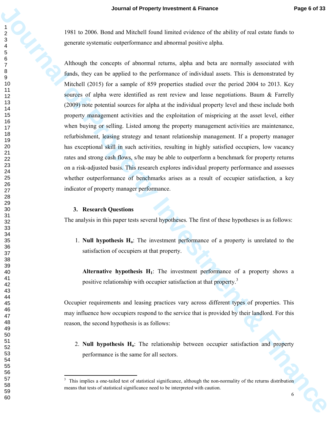1981 to 2006. Bond and Mitchell found limited evidence of the ability of real estate funds to generate systematic outperformance and abnormal positive alpha.

**Journal of Property Investment & Finance Property in the second of the second of the second of the second of the second of the second of the second of the second of the second of the second of the second of the second o** Although the concepts of abnormal returns, alpha and beta are normally associated with funds, they can be applied to the performance of individual assets. This is demonstrated by Mitchell (2015) for a sample of 859 properties studied over the period 2004 to 2013. Key sources of alpha were identified as rent review and lease negotiations. Baum & Farrelly (2009) note potential sources for alpha at the individual property level and these include both property management activities and the exploitation of mispricing at the asset level, either when buying or selling. Listed among the property management activities are maintenance, refurbishment, leasing strategy and tenant relationship management. If a property manager has exceptional skill in such activities, resulting in highly satisfied occupiers, low vacancy rates and strong cash flows, s/he may be able to outperform a benchmark for property returns on a risk-adjusted basis. This research explores individual property performance and assesses whether outperformance of benchmarks arises as a result of occupier satisfaction, a key indicator of property manager performance.

#### **3. Research Questions**

The analysis in this paper tests several hypotheses. The first of these hypotheses is as follows:

1. **Null hypothesis Ho**: The investment performance of a property is unrelated to the satisfaction of occupiers at that property.

**Alternative hypothesis H1**: The investment performance of a property shows a positive relationship with occupier satisfaction at that property.<sup>3</sup>

Occupier requirements and leasing practices vary across different types of properties. This may influence how occupiers respond to the service that is provided by their landlord. For this reason, the second hypothesis is as follows:

2. **Null hypothesis Ho**: The relationship between occupier satisfaction and property performance is the same for all sectors.

 This implies a one-tailed test of statistical significance, although the non-normality of the returns distribution means that tests of statistical significance need to be interpreted with caution.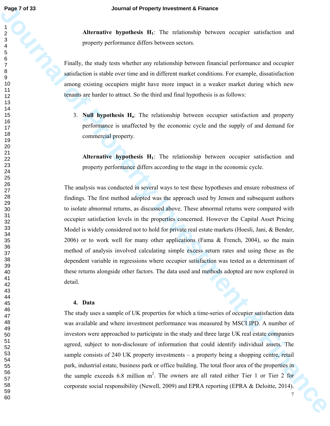**Alternative hypothesis H1**: The relationship between occupier satisfaction and property performance differs between sectors.

Finally, the study tests whether any relationship between financial performance and occupier satisfaction is stable over time and in different market conditions. For example, dissatisfaction among existing occupiers might have more impact in a weaker market during which new tenants are harder to attract. So the third and final hypothesis is as follows:

3. **Null hypothesis Ho**: The relationship between occupier satisfaction and property performance is unaffected by the economic cycle and the supply of and demand for commercial property.

**Alternative hypothesis H1**: The relationship between occupier satisfaction and property performance differs according to the stage in the economic cycle.

**From 17**<br> **Journal of Property Investment & Finance**<br> **J** Alternative byparticism is the cluster in the control of the property interference in the state of the state of the state of the state of the state of the state of The analysis was conducted in several ways to test these hypotheses and ensure robustness of findings. The first method adopted was the approach used by Jensen and subsequent authors to isolate abnormal returns, as discussed above. These abnormal returns were compared with occupier satisfaction levels in the properties concerned. However the Capital Asset Pricing Model is widely considered not to hold for private real estate markets (Hoesli, Jani, & Bender, 2006) or to work well for many other applications (Fama & French, 2004), so the main method of analysis involved calculating simple excess return rates and using these as the dependent variable in regressions where occupier satisfaction was tested as a determinant of these returns alongside other factors. The data used and methods adopted are now explored in detail.

### **4. Data**

The study uses a sample of UK properties for which a time-series of occupier satisfaction data was available and where investment performance was measured by MSCI IPD. A number of investors were approached to participate in the study and three large UK real estate companies agreed, subject to non-disclosure of information that could identify individual assets. The sample consists of 240 UK property investments – a property being a shopping centre, retail park, industrial estate, business park or office building. The total floor area of the properties in the sample exceeds 6.8 million  $m^2$ . The owners are all rated either Tier 1 or Tier 2 for corporate social responsibility (Newell, 2009) and EPRA reporting (EPRA & Deloitte, 2014).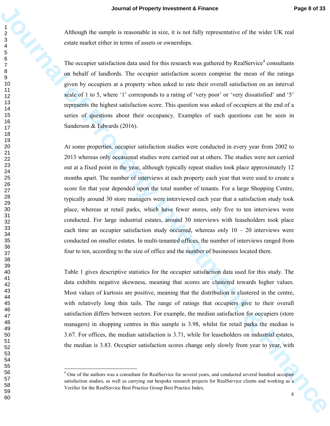Although the sample is reasonable in size, it is not fully representative of the wider UK real estate market either in terms of assets or ownerships.

The occupier satisfaction data used for this research was gathered by RealService<sup>4</sup> consultants on behalf of landlords. The occupier satisfaction scores comprise the mean of the ratings given by occupiers at a property when asked to rate their overall satisfaction on an interval scale of 1 to 5, where '1' corresponds to a rating of 'very poor' or 'very dissatisfied' and '5' represents the highest satisfaction score. This question was asked of occupiers at the end of a series of questions about their occupancy. Examples of such questions can be seen in Sanderson & Edwards (2016).

**Journal of Property tweestment & Finances**<br> **Journal of Properties and Constraine Constraine Constraine Constraine Constraine Constraine Constraine Constraine Constraine Constraine Constraine Constraine Constraine Constra** At some properties, occupier satisfaction studies were conducted in every year from 2002 to 2013 whereas only occasional studies were carried out at others. The studies were not carried out at a fixed point in the year, although typically repeat studies took place approximately 12 months apart. The number of interviews at each property each year that were used to create a score for that year depended upon the total number of tenants. For a large Shopping Centre, typically around 30 store managers were interviewed each year that a satisfaction study took place, whereas at retail parks, which have fewer stores, only five to ten interviews were conducted. For large industrial estates, around 30 interviews with leaseholders took place each time an occupier satisfaction study occurred, whereas only  $10 - 20$  interviews were conducted on smaller estates. In multi-tenanted offices, the number of interviews ranged from four to ten, according to the size of office and the number of businesses located there.

Table 1 gives descriptive statistics for the occupier satisfaction data used for this study. The data exhibits negative skewness, meaning that scores are clustered towards higher values. Most values of kurtosis are positive, meaning that the distribution is clustered in the centre, with relatively long thin tails. The range of ratings that occupiers give to their overall satisfaction differs between sectors. For example, the median satisfaction for occupiers (store managers) in shopping centres in this sample is 3.98, whilst for retail parks the median is 3.67. For offices, the median satisfaction is 3.71, while for leaseholders on industrial estates, the median is 3.83. Occupier satisfaction scores change only slowly from year to year, with

<sup>&</sup>lt;sup>4</sup> One of the authors was a consultant for RealService for several years, and conducted several hundred occupier satisfaction studies, as well as carrying out bespoke research projects for RealService clients and working as a Verifier for the RealService Best Practice Group Best Practice Index.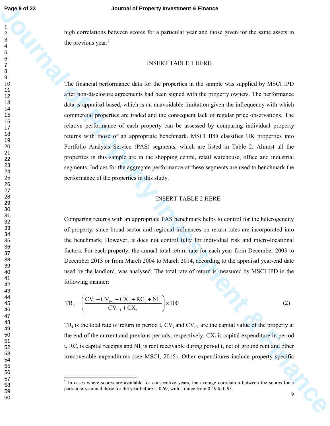high correlations between scores for a particular year and those given for the same assets in the previous year.<sup>5</sup>

#### INSERT TABLE 1 HERE

**Page 9 of 33**<br> **Journal of Property weaternow to Property and American**<br> **Journal of Property and American State State State State State State State State State State State State State State State State State State State** The financial performance data for the properties in the sample was supplied by MSCI IPD after non-disclosure agreements had been signed with the property owners. The performance data is appraisal-based, which is an unavoidable limitation given the infrequency with which commercial properties are traded and the consequent lack of regular price observations. The relative performance of each property can be assessed by comparing individual property returns with those of an appropriate benchmark. MSCI IPD classifies UK properties into Portfolio Analysis Service (PAS) segments, which are listed in Table 2. Almost all the properties in this sample are in the shopping centre, retail warehouse, office and industrial segments. Indices for the aggregate performance of these segments are used to benchmark the performance of the properties in this study.

# INSERT TABLE 2 HERE

Comparing returns with an appropriate PAS benchmark helps to control for the heterogeneity of property, since broad sector and regional influences on return rates are incorporated into the benchmark. However, it does not control fully for individual risk and micro-locational factors. For each property, the annual total return rate for each year from December 2003 to December 2013 or from March 2004 to March 2014, according to the appraisal year-end date used by the landlord, was analysed. The total rate of return is measured by MSCI IPD in the following manner:

$$
TR_{t} = \left(\frac{CV_{t} - CV_{t-1} - CX_{t} + RC_{t} + NI_{t}}{CV_{t-1} + CX_{t}}\right) \times 100
$$
\n(2)

 $TR_t$  is the total rate of return in period t,  $CV_t$  and  $CV_{t-1}$  are the capital value of the property at the end of the current and previous periods, respectively,  $CX_t$  is capital expenditure in period t,  $RC_t$  is capital receipts and  $NI_t$  is rent receivable during period t, net of ground rent and other irrecoverable expenditures (see MSCI, 2015). Other expenditures include property specific

<sup>5</sup> In cases where scores are available for consecutive years, the average correlation between the scores for a particular year and those for the year before is 0.69, with a range from 0.49 to 0.93.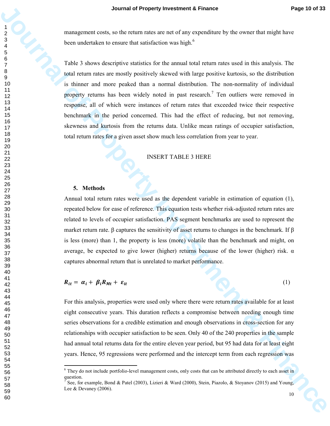management costs, so the return rates are net of any expenditure by the owner that might have been undertaken to ensure that satisfaction was high.<sup>6</sup>

**Journal of Property tweestment & Finance Property and the Source of Source Controllers (API) and the Source Controllers (API) and the Controllers (API) and the Controllers (API) and the Controllers (API) and the Controll** Table 3 shows descriptive statistics for the annual total return rates used in this analysis. The total return rates are mostly positively skewed with large positive kurtosis, so the distribution is thinner and more peaked than a normal distribution. The non-normality of individual property returns has been widely noted in past research.<sup>7</sup> Ten outliers were removed in response, all of which were instances of return rates that exceeded twice their respective benchmark in the period concerned. This had the effect of reducing, but not removing, skewness and kurtosis from the returns data. Unlike mean ratings of occupier satisfaction, total return rates for a given asset show much less correlation from year to year.

INSERT TABLE 3 HERE

#### **5. Methods**

Annual total return rates were used as the dependent variable in estimation of equation (1), repeated below for ease of reference. This equation tests whether risk-adjusted return rates are related to levels of occupier satisfaction. PAS segment benchmarks are used to represent the market return rate. β captures the sensitivity of asset returns to changes in the benchmark. If β is less (more) than 1, the property is less (more) volatile than the benchmark and might, on average, be expected to give lower (higher) returns because of the lower (higher) risk. α captures abnormal return that is unrelated to market performance.

# $R_{it} = \alpha_i + \beta_i R_{Mt} + \varepsilon_i$

 $\epsilon$  (1)

For this analysis, properties were used only where there were return rates available for at least eight consecutive years. This duration reflects a compromise between needing enough time series observations for a credible estimation and enough observations in cross-section for any relationships with occupier satisfaction to be seen. Only 40 of the 240 properties in the sample had annual total returns data for the entire eleven year period, but 95 had data for at least eight years. Hence, 95 regressions were performed and the intercept term from each regression was

<sup>&</sup>lt;sup>6</sup> They do not include portfolio-level management costs, only costs that can be attributed directly to each asset in question.

 See, for example, Bond & Patel (2003), Lizieri & Ward (2000), Stein, Piazolo, & Stoyanov (2015) and Young, Lee & Devaney (2006).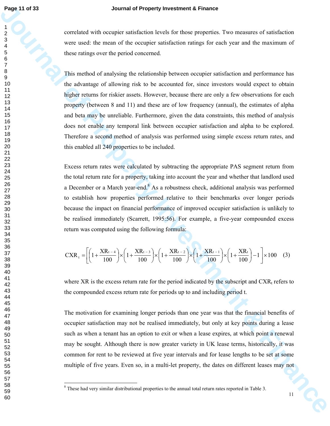#### **Page 11 of 33 Journal of Property Investment & Finance**

correlated with occupier satisfaction levels for those properties. Two measures of satisfaction were used: the mean of the occupier satisfaction ratings for each year and the maximum of these ratings over the period concerned.

**From the ST**<br> **Journal of Property treatations in the State State State State State State State State State State State State State State State State State State State State State State State State State State State Stat** This method of analysing the relationship between occupier satisfaction and performance has the advantage of allowing risk to be accounted for, since investors would expect to obtain higher returns for riskier assets. However, because there are only a few observations for each property (between 8 and 11) and these are of low frequency (annual), the estimates of alpha and beta may be unreliable. Furthermore, given the data constraints, this method of analysis does not enable any temporal link between occupier satisfaction and alpha to be explored. Therefore a second method of analysis was performed using simple excess return rates, and this enabled all 240 properties to be included.

Excess return rates were calculated by subtracting the appropriate PAS segment return from the total return rate for a property, taking into account the year and whether that landlord used a December or a March year-end.<sup>8</sup> As a robustness check, additional analysis was performed to establish how properties performed relative to their benchmarks over longer periods because the impact on financial performance of improved occupier satisfaction is unlikely to be realised immediately (Scarrett, 1995:56). For example, a five-year compounded excess return was computed using the following formula:

$$
CXR_{t} = \left[ \left( 1 + \frac{XR_{t-4}}{100} \right) \times \left( 1 + \frac{XR_{t-3}}{100} \right) \times \left( 1 + \frac{XR_{t-2}}{100} \right) \times \left( 1 + \frac{XR_{t-1}}{100} \right) \times \left( 1 + \frac{XR_{t}}{100} \right) - 1 \right] \times 100 \quad (3)
$$

where  $XR$  is the excess return rate for the period indicated by the subscript and  $CXR_t$  refers to the compounded excess return rate for periods up to and including period t.

The motivation for examining longer periods than one year was that the financial benefits of occupier satisfaction may not be realised immediately, but only at key points during a lease such as when a tenant has an option to exit or when a lease expires, at which point a renewal may be sought. Although there is now greater variety in UK lease terms, historically, it was common for rent to be reviewed at five year intervals and for lease lengths to be set at some multiple of five years. Even so, in a multi-let property, the dates on different leases may not

<sup>&</sup>lt;sup>8</sup> These had very similar distributional properties to the annual total return rates reported in Table 3.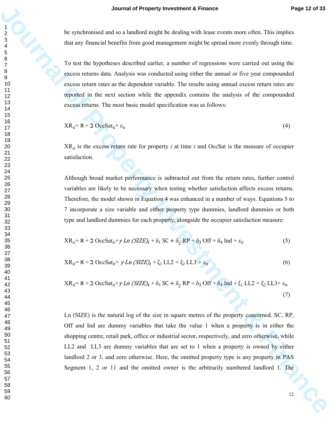be synchronised and so a landlord might be dealing with lease events more often. This implies that any financial benefits from good management might be spread more evenly through time.

To test the hypotheses described earlier, a number of regressions were carried out using the excess returns data. Analysis was conducted using either the annual or five year compounded excess return rates as the dependent variable. The results using annual excess return rates are reported in the next section while the appendix contains the analysis of the compounded excess returns. The most basic model specification was as follows:

$$
XR_{it} = \aleph + \Delta \text{OccSat}_{it} + \varepsilon_{it}
$$
 (4)

 $XR_{it}$  is the excess return rate for property *i* at time *t* and OccSat is the measure of occupier satisfaction.

Although broad market performance is subtracted out from the return rates, further control variables are likely to be necessary when testing whether satisfaction affects excess returns. Therefore, the model shown in Equation 4 was enhanced in a number of ways. Equations 5 to 7 incorporate a size variable and either property type dummies, landlord dummies or both type and landlord dummies for each property, alongside the occupier satisfaction measure:

$$
XR_{it} = \aleph + \Delta \text{OccSat}_{it} + \gamma \text{Ln}(SIZE)_i + \delta_1 \text{ SC} + \delta_2 \text{ RP} + \delta_3 \text{ Off} + \delta_4 \text{ Ind} + \varepsilon_{it}
$$
(5)

$$
XR_{it} = \aleph + \Delta \text{OccSat}_{it} + \gamma \text{Ln}(SIZE)_{i} + \zeta_{1} LL2 + \zeta_{2} LL3 + \varepsilon_{it}
$$
\n
$$
(6)
$$

$$
XR_{it} = \aleph + \Delta \text{ OccSat}_{it} + \gamma \text{Ln}(SIZE)_{i} + \delta_{1} SC + \delta_{2} RP + \delta_{3} Off + \delta_{4} Ind + \zeta_{1} LL2 + \zeta_{2} LL3 + \varepsilon_{it}
$$
\n(7)

**Journal of Property Investment & Finance Property and the state of the simples<br>
Journal of the state of the state of the state of the state of the state of the state of the state of the state of the state of the state of** Ln (SIZE) is the natural log of the size in square metres of the property concerned. SC, RP, Off and Ind are dummy variables that take the value 1 when a property is in either the shopping centre, retail park, office or industrial sector, respectively, and zero otherwise, while LL2 and LL3 are dummy variables that are set to 1 when a property is owned by either landlord 2 or 3, and zero otherwise. Here, the omitted property type is any property in PAS Segment 1, 2 or 11 and the omitted owner is the arbitrarily numbered landlord 1. The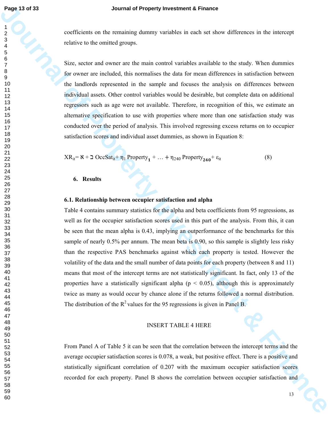coefficients on the remaining dummy variables in each set show differences in the intercept relative to the omitted groups.

Size, sector and owner are the main control variables available to the study. When dummies for owner are included, this normalises the data for mean differences in satisfaction between the landlords represented in the sample and focuses the analysis on differences between individual assets. Other control variables would be desirable, but complete data on additional regressors such as age were not available. Therefore, in recognition of this, we estimate an alternative specification to use with properties where more than one satisfaction study was conducted over the period of analysis. This involved regressing excess returns on to occupier satisfaction scores and individual asset dummies, as shown in Equation 8:

$$
XR_{it} = \aleph + \Delta \text{OccSat}_{it} + \eta_1 \text{Property}_1 + ... + \eta_{240} \text{Property}_{240} + \varepsilon_{it}
$$
 (8)

#### **6. Results**

# **6.1. Relationship between occupier satisfaction and alpha**

**Page 13 of 33**<br> **Journal of Property tweatings in the set above of Property<br>
2.5**<br> **Societies as the continent groups.**<br> **Societies as the contrade groups.**<br> **Societies as the contrade groups.**<br> **Societies and increase a** Table 4 contains summary statistics for the alpha and beta coefficients from 95 regressions, as well as for the occupier satisfaction scores used in this part of the analysis. From this, it can be seen that the mean alpha is 0.43, implying an outperformance of the benchmarks for this sample of nearly 0.5% per annum. The mean beta is 0.90, so this sample is slightly less risky than the respective PAS benchmarks against which each property is tested. However the volatility of the data and the small number of data points for each property (between 8 and 11) means that most of the intercept terms are not statistically significant. In fact, only 13 of the properties have a statistically significant alpha ( $p < 0.05$ ), although this is approximately twice as many as would occur by chance alone if the returns followed a normal distribution. The distribution of the  $R^2$  values for the 95 regressions is given in Panel B.

## INSERT TABLE 4 HERE

From Panel A of Table 5 it can be seen that the correlation between the intercept terms and the average occupier satisfaction scores is 0.078, a weak, but positive effect. There is a positive and statistically significant correlation of 0.207 with the maximum occupier satisfaction scores recorded for each property. Panel B shows the correlation between occupier satisfaction and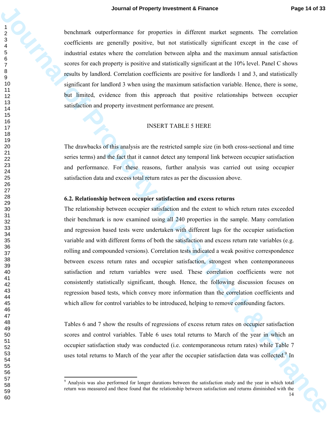benchmark outperformance for properties in different market segments. The correlation coefficients are generally positive, but not statistically significant except in the case of industrial estates where the correlation between alpha and the maximum annual satisfaction scores for each property is positive and statistically significant at the 10% level. Panel C shows results by landlord. Correlation coefficients are positive for landlords 1 and 3, and statistically significant for landlord 3 when using the maximum satisfaction variable. Hence, there is some, but limited, evidence from this approach that positive relationships between occupier satisfaction and property investment performance are present.

# INSERT TABLE 5 HERE

The drawbacks of this analysis are the restricted sample size (in both cross-sectional and time series terms) and the fact that it cannot detect any temporal link between occupier satisfaction and performance. For these reasons, further analysis was carried out using occupier satisfaction data and excess total return rates as per the discussion above.

### **6.2. Relationship between occupier satisfaction and excess returns**

**Journal of Property Investment & Finance Frogenic Society (1978)**<br>
Journal of Operatomere for processing in different material operation controlled by the controlled property in the case of metallicity in the controlled The relationship between occupier satisfaction and the extent to which return rates exceeded their benchmark is now examined using all 240 properties in the sample. Many correlation and regression based tests were undertaken with different lags for the occupier satisfaction variable and with different forms of both the satisfaction and excess return rate variables (e.g. rolling and compounded versions). Correlation tests indicated a weak positive correspondence between excess return rates and occupier satisfaction, strongest when contemporaneous satisfaction and return variables were used. These correlation coefficients were not consistently statistically significant, though. Hence, the following discussion focuses on regression based tests, which convey more information than the correlation coefficients and which allow for control variables to be introduced, helping to remove confounding factors.

Tables 6 and 7 show the results of regressions of excess return rates on occupier satisfaction scores and control variables. Table 6 uses total returns to March of the year in which an occupier satisfaction study was conducted (i.e. contemporaneous return rates) while Table 7 uses total returns to March of the year after the occupier satisfaction data was collected.<sup>9</sup> In

 Analysis was also performed for longer durations between the satisfaction study and the year in which total return was measured and these found that the relationship between satisfaction and returns diminished with the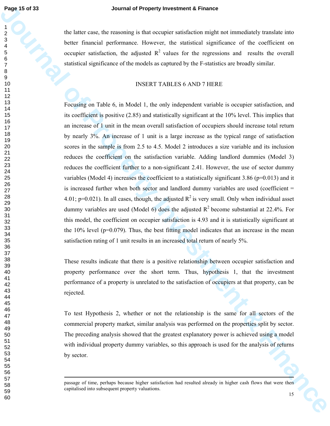# **Page 15 of 33 Journal of Property Investment & Finance**

the latter case, the reasoning is that occupier satisfaction might not immediately translate into better financial performance. However, the statistical significance of the coefficient on occupier satisfaction, the adjusted  $R^2$  values for the regressions and results the overall statistical significance of the models as captured by the F-statistics are broadly similar.

# INSERT TABLES 6 AND 7 HERE

**Page 15 of 33**<br>**Journal of Property treestonics**, it is the complete substitute of the contract test of the contract test of the contract of the contract of the contract of the contract of the contract of the contract of Focusing on Table 6, in Model 1, the only independent variable is occupier satisfaction, and its coefficient is positive (2.85) and statistically significant at the 10% level. This implies that an increase of 1 unit in the mean overall satisfaction of occupiers should increase total return by nearly 3%. An increase of 1 unit is a large increase as the typical range of satisfaction scores in the sample is from 2.5 to 4.5. Model 2 introduces a size variable and its inclusion reduces the coefficient on the satisfaction variable. Adding landlord dummies (Model 3) reduces the coefficient further to a non-significant 2.41. However, the use of sector dummy variables (Model 4) increases the coefficient to a statistically significant 3.86 ( $p=0.013$ ) and it is increased further when both sector and landlord dummy variables are used (coefficient = 4.01; p=0.021). In all cases, though, the adjusted  $R^2$  is very small. Only when individual asset dummy variables are used (Model 6) does the adjusted  $R^2$  become substantial at 22.4%. For this model, the coefficient on occupier satisfaction is 4.93 and it is statistically significant at the  $10\%$  level ( $p=0.079$ ). Thus, the best fitting model indicates that an increase in the mean satisfaction rating of 1 unit results in an increased total return of nearly 5%.

These results indicate that there is a positive relationship between occupier satisfaction and property performance over the short term. Thus, hypothesis 1, that the investment performance of a property is unrelated to the satisfaction of occupiers at that property, can be rejected.

To test Hypothesis 2, whether or not the relationship is the same for all sectors of the commercial property market, similar analysis was performed on the properties split by sector. The preceding analysis showed that the greatest explanatory power is achieved using a model with individual property dummy variables, so this approach is used for the analysis of returns by sector.

<sup>&</sup>lt;u> La componenta de la componenta de la componenta de la componenta de la componenta de la componenta de la compo</u> passage of time, perhaps because higher satisfaction had resulted already in higher cash flows that were then capitalised into subsequent property valuations.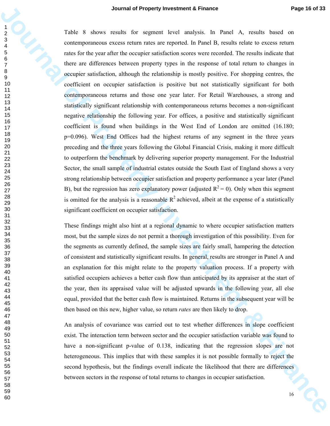**Journal of Property Investment & Finance<br>
<b>Journal of Property Livest and Systems**<br> **Journal of Conservation Conservation** and Particular Society and Conservation and Conservation and Conservation and Conservation and Con Table 8 shows results for segment level analysis. In Panel A, results based on contemporaneous excess return rates are reported. In Panel B, results relate to excess return rates for the year after the occupier satisfaction scores were recorded. The results indicate that there are differences between property types in the response of total return to changes in occupier satisfaction, although the relationship is mostly positive. For shopping centres, the coefficient on occupier satisfaction is positive but not statistically significant for both contemporaneous returns and those one year later. For Retail Warehouses, a strong and statistically significant relationship with contemporaneous returns becomes a non-significant negative relationship the following year. For offices, a positive and statistically significant coefficient is found when buildings in the West End of London are omitted (16.180; p=0.096). West End Offices had the highest returns of any segment in the three years preceding and the three years following the Global Financial Crisis, making it more difficult to outperform the benchmark by delivering superior property management. For the Industrial Sector, the small sample of industrial estates outside the South East of England shows a very strong relationship between occupier satisfaction and property performance a year later (Panel B), but the regression has zero explanatory power (adjusted  $R^2 = 0$ ). Only when this segment is omitted for the analysis is a reasonable  $R^2$  achieved, albeit at the expense of a statistically significant coefficient on occupier satisfaction.

These findings might also hint at a regional dynamic to where occupier satisfaction matters most, but the sample sizes do not permit a thorough investigation of this possibility. Even for the segments as currently defined, the sample sizes are fairly small, hampering the detection of consistent and statistically significant results. In general, results are stronger in Panel A and an explanation for this might relate to the property valuation process. If a property with satisfied occupiers achieves a better cash flow than anticipated by its appraiser at the start of the year, then its appraised value will be adjusted upwards in the following year, all else equal, provided that the better cash flow is maintained. Returns in the subsequent year will be then based on this new, higher value, so return *rates* are then likely to drop.

An analysis of covariance was carried out to test whether differences in slope coefficient exist. The interaction term between sector and the occupier satisfaction variable was found to have a non-significant p-value of 0.138, indicating that the regression slopes are not heterogeneous. This implies that with these samples it is not possible formally to reject the second hypothesis, but the findings overall indicate the likelihood that there are differences between sectors in the response of total returns to changes in occupier satisfaction.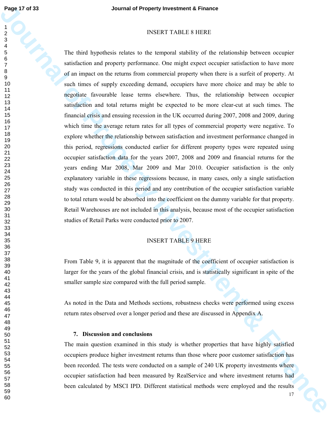# INSERT TABLE 8 HERE

**Page 17 of 33**<br> **Journal of Property twentinent & Pinance**<br> **Journal of Property is the state of the content of the state of the state of the state of the state of the state of the state of the state of the state of the s** The third hypothesis relates to the temporal stability of the relationship between occupier satisfaction and property performance. One might expect occupier satisfaction to have more of an impact on the returns from commercial property when there is a surfeit of property. At such times of supply exceeding demand, occupiers have more choice and may be able to negotiate favourable lease terms elsewhere. Thus, the relationship between occupier satisfaction and total returns might be expected to be more clear-cut at such times. The financial crisis and ensuing recession in the UK occurred during 2007, 2008 and 2009, during which time the average return rates for all types of commercial property were negative. To explore whether the relationship between satisfaction and investment performance changed in this period, regressions conducted earlier for different property types were repeated using occupier satisfaction data for the years 2007, 2008 and 2009 and financial returns for the years ending Mar 2008, Mar 2009 and Mar 2010. Occupier satisfaction is the only explanatory variable in these regressions because, in many cases, only a single satisfaction study was conducted in this period and any contribution of the occupier satisfaction variable to total return would be absorbed into the coefficient on the dummy variable for that property. Retail Warehouses are not included in this analysis, because most of the occupier satisfaction studies of Retail Parks were conducted prior to 2007.

# INSERT TABLE 9 HERE

From Table 9, it is apparent that the magnitude of the coefficient of occupier satisfaction is larger for the years of the global financial crisis, and is statistically significant in spite of the smaller sample size compared with the full period sample.

As noted in the Data and Methods sections, robustness checks were performed using excess return rates observed over a longer period and these are discussed in Appendix A.

#### **7. Discussion and conclusions**

The main question examined in this study is whether properties that have highly satisfied occupiers produce higher investment returns than those where poor customer satisfaction has been recorded. The tests were conducted on a sample of 240 UK property investments where occupier satisfaction had been measured by RealService and where investment returns had been calculated by MSCI IPD. Different statistical methods were employed and the results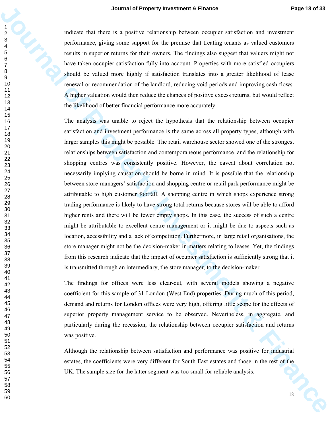indicate that there is a positive relationship between occupier satisfaction and investment performance, giving some support for the premise that treating tenants as valued customers results in superior returns for their owners. The findings also suggest that valuers might not have taken occupier satisfaction fully into account. Properties with more satisfied occupiers should be valued more highly if satisfaction translates into a greater likelihood of lease renewal or recommendation of the landlord, reducing void periods and improving cash flows. A higher valuation would then reduce the chances of positive excess returns, but would reflect the likelihood of better financial performance more accurately.

**Journal of Property tweesmeare a Phone of Property American Constrained Expansion of Property and the Symbol Symbol Symbol Symbol Symbol Symbol Symbol Symbol Symbol Symbol Symbol Symbol Symbol Symbol Symbol Symbol Symbol** The analysis was unable to reject the hypothesis that the relationship between occupier satisfaction and investment performance is the same across all property types, although with larger samples this might be possible. The retail warehouse sector showed one of the strongest relationships between satisfaction and contemporaneous performance, and the relationship for shopping centres was consistently positive. However, the caveat about correlation not necessarily implying causation should be borne in mind. It is possible that the relationship between store-managers' satisfaction and shopping centre or retail park performance might be attributable to high customer footfall. A shopping centre in which shops experience strong trading performance is likely to have strong total returns because stores will be able to afford higher rents and there will be fewer empty shops. In this case, the success of such a centre might be attributable to excellent centre management or it might be due to aspects such as location, accessibility and a lack of competition. Furthermore, in large retail organisations, the store manager might not be the decision-maker in matters relating to leases. Yet, the findings from this research indicate that the impact of occupier satisfaction is sufficiently strong that it is transmitted through an intermediary, the store manager, to the decision-maker.

The findings for offices were less clear-cut, with several models showing a negative coefficient for this sample of 31 London (West End) properties. During much of this period, demand and returns for London offices were very high, offering little scope for the effects of superior property management service to be observed. Nevertheless, in aggregate, and particularly during the recession, the relationship between occupier satisfaction and returns was positive.

Although the relationship between satisfaction and performance was positive for industrial estates, the coefficients were very different for South East estates and those in the rest of the UK. The sample size for the latter segment was too small for reliable analysis.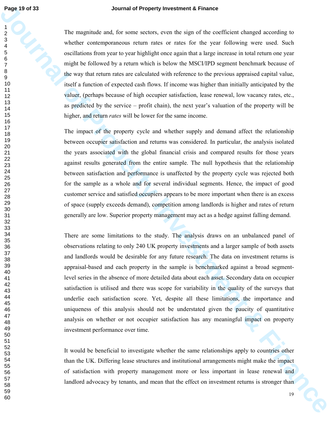#### **Page 19 of 33 Journal of Property Investment & Finance**

The magnitude and, for some sectors, even the sign of the coefficient changed according to whether contemporaneous return rates or rates for the year following were used. Such oscillations from year to year highlight once again that a large increase in total return one year might be followed by a return which is below the MSCI/IPD segment benchmark because of the way that return rates are calculated with reference to the previous appraised capital value, itself a function of expected cash flows. If income was higher than initially anticipated by the valuer, (perhaps because of high occupier satisfaction, lease renewal, low vacancy rates, etc., as predicted by the service – profit chain), the next year's valuation of the property will be higher, and return *rates* will be lower for the same income.

The impact of the property cycle and whether supply and demand affect the relationship between occupier satisfaction and returns was considered. In particular, the analysis isolated the years associated with the global financial crisis and compared results for those years against results generated from the entire sample. The null hypothesis that the relationship between satisfaction and performance is unaffected by the property cycle was rejected both for the sample as a whole and for several individual segments. Hence, the impact of good customer service and satisfied occupiers appears to be more important when there is an excess of space (supply exceeds demand), competition among landlords is higher and rates of return generally are low. Superior property management may act as a hedge against falling demand.

**Page 19 of 33**<br> **Journal of Property tweestries** is the subficient of Property in the substitution in the substitution in the substitution in the substitution of the substitution in the substitution of the substitution in There are some limitations to the study. The analysis draws on an unbalanced panel of observations relating to only 240 UK property investments and a larger sample of both assets and landlords would be desirable for any future research. The data on investment returns is appraisal-based and each property in the sample is benchmarked against a broad segmentlevel series in the absence of more detailed data about each asset. Secondary data on occupier satisfaction is utilised and there was scope for variability in the quality of the surveys that underlie each satisfaction score. Yet, despite all these limitations, the importance and uniqueness of this analysis should not be understated given the paucity of quantitative analysis on whether or not occupier satisfaction has any meaningful impact on property investment performance over time.

It would be beneficial to investigate whether the same relationships apply to countries other than the UK. Differing lease structures and institutional arrangements might make the impact of satisfaction with property management more or less important in lease renewal and landlord advocacy by tenants, and mean that the effect on investment returns is stronger than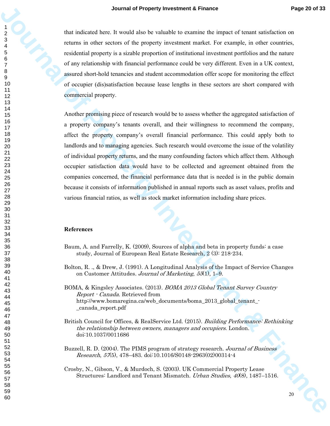that indicated here. It would also be valuable to examine the impact of tenant satisfaction on returns in other sectors of the property investment market. For example, in other countries, residential property is a sizable proportion of institutional investment portfolios and the nature of any relationship with financial performance could be very different. Even in a UK context, assured short-hold tenancies and student accommodation offer scope for monitoring the effect of occupier (dis)satisfaction because lease lengths in these sectors are short compared with commercial property.

**Journal of Property Investment & Pinance**<br> **Journal of Property Provides to control the interaction of the matrix of the matrix of the control of the control of the control of the control of the control of the control of** Another promising piece of research would be to assess whether the aggregated satisfaction of a property company's tenants overall, and their willingness to recommend the company, affect the property company's overall financial performance. This could apply both to landlords and to managing agencies. Such research would overcome the issue of the volatility of individual property returns, and the many confounding factors which affect them. Although occupier satisfaction data would have to be collected and agreement obtained from the companies concerned, the financial performance data that is needed is in the public domain because it consists of information published in annual reports such as asset values, profits and various financial ratios, as well as stock market information including share prices.

#### **References**

- Baum, A. and Farrelly, K. (2009), Sources of alpha and beta in property funds: a case study, Journal of European Real Estate Research, 2 (3): 218-234.
- Bolton, R. ., & Drew, J. (1991). A Longitudinal Analysis of the Impact of Service Changes on Customer Attitudes. Journal of Marketing, 55(1), 1–9.
- BOMA, & Kingsley Associates. (2013). BOMA 2013 Global Tenant Survey Country Report - Canada. Retrieved from http://www.bomaregina.ca/web\_documents/boma\_2013\_global\_tenant\_-\_canada\_report.pdf
- British Council for Offices, & RealService Ltd. (2015). Building Performance: Rethinking the relationship between owners, managers and occupiers. London. doi:10.1037/0011686
- Buzzell, R. D. (2004). The PIMS program of strategy research. Journal of Business Research, 57(5), 478–483. doi:10.1016/S0148-2963(02)00314-4
- Crosby, N., Gibson, V., & Murdoch, S. (2003). UK Commercial Property Lease Structures: Landlord and Tenant Mismatch. Urban Studies, 40(8), 1487–1516.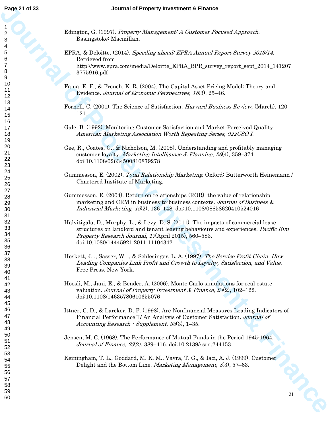- Edington, G. (1997). Property Management: A Customer Focused Approach. Basingstoke: Macmillan.
- EPRA, & Deloitte. (2014). Speeding ahead: EPRA Annual Report Survey 2013/14. Retrieved from http://www.epra.com/media/Deloitte\_EPRA\_BPR\_survey\_report\_sept\_2014\_141207 3775916.pdf
- Fama, E. F., & French, K. R. (2004). The Capital Asset Pricing Model: Theory and Evidence. Journal of Economic Perspectives, 18(3), 25–46.
- Fornell, C. (2001). The Science of Satisfaction. Harvard Business Review, (March), 120– 121.
- Gale, B. (1992). Monitoring Customer Satisfaction and Market-Perceived Quality. American Marketing Association Worth Repeating Series, 922CSO I.
- Gee, R., Coates, G., & Nicholson, M. (2008). Understanding and profitably managing customer loyalty. Marketing Intelligence & Planning, 26(4), 359–374. doi:10.1108/02634500810879278
- Gummesson, E. (2002). Total Relationship Marketing. Oxford: Butterworth Heinemann / Chartered Institute of Marketing.
- Gummesson, E. (2004). Return on relationships (ROR): the value of relationship marketing and CRM in business-to-business contexts. Journal of Business  $\&$ Industrial Marketing, 19(2), 136–148. doi:10.1108/08858620410524016
- **Page 21 of 33**<br> **Journal of Property Investment** & Finance *Magnetonia Action Content Magnetonia* Action (1972). New York 10. (1973). New York 10. (1973). The Magnetonia Action (1974). In the second of the second of the s Halvitigala, D., Murphy, L., & Levy, D. S. (2011). The impacts of commercial lease structures on landlord and tenant leasing behaviours and experiences. Pacific Rim Property Research Journal, 17(April 2015), 560–583. doi:10.1080/14445921.2011.11104342
	- Heskett, J. ., Sasser, W. ., & Schlesinger, L. A. (1997). The Service Profit Chain: How Leading Companies Link Profit and Growth to Loyalty, Satisfaction, and Value. Free Press, New York.
	- Hoesli, M., Jani, E., & Bender, A. (2006). Monte Carlo simulations for real estate valuation. Journal of Property Investment & Finance, 24(2), 102–122. doi:10.1108/14635780610655076
	- Ittner, C. D., & Larcker, D. F. (1998). Are Nonfinancial Measures Leading Indicators of Financial Performance<sup>[]</sup>? An Analysis of Customer Satisfaction. Journal of Accounting Research - Supplement, 36(3), 1–35.
	- Jensen, M. C. (1968). The Performance of Mutual Funds in the Period 1945-1964. Journal of Finance, 23(2), 389–416. doi:10.2139/ssrn.244153
	- Keiningham, T. L., Goddard, M. K. M., Vavra, T. G., & Iaci, A. J. (1999). Customer Delight and the Bottom Line. *Marketing Management*, 8(3), 57–63.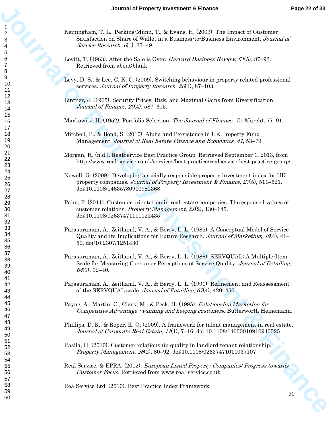- **Journal of Property Investment & Finance** Keiningham, T. L., Perkins-Munn, T., & Evans, H. (2003). The Impact of Customer Satisfaction on Share of Wallet in a Business-to-Business Environment. Journal of Service Research,  $6(1)$ , 37–49.
	- Levitt, T. (1983). After the Sale is Over. *Harvard Business Review*, 61(5), 87–93. Retrieved from about:blank
	- Levy, D. S., & Lee, C. K. C. (2009). Switching behaviour in property related professional services. Journal of Property Research, 26(1), 87–103.
	- Lintner, J. (1965). Security Prices, Risk, and Maximal Gains from Diversification. Journal of Finance,  $20(4)$ , 587–615.
	- Markowitz, H. (1952). Portfolio Selection. *The Journal of Finance*,  $\pi$  March), 77–91.
	- Mitchell, P., & Bond, S. (2010). Alpha and Persistence in UK Property Fund Management. Journal of Real Estate Finance and Economics, 41, 53–79.
	- Morgan, H. (n.d.). RealService Best Practice Group. Retrieved September 1, 2013, from http://www.real-service.co.uk/services/best-practice/realservice-best-practice-group/
	- Newell, G. (2009). Developing a socially responsible property investment index for UK property companies. Journal of Property Investment & Finance,  $27(5)$ ,  $511-521$ . doi:10.1108/14635780910982368
	- Palm, P. (2011). Customer orientation in real-estate companies: The espoused values of customer relations. *Property Management*, 29(2), 130–145. doi:10.1108/02637471111122435
	- Parasuraman, A., Zeithaml, V. A., & Berry, L. L. (1985). A Conceptual Model of Service Quality and Its Implications for Future Research. Journal of Marketing, 49(4), 41– 50. doi:10.2307/1251430
	- Parasuraman, A., Zeithaml, V. A., & Berry, L. L. (1988). SERVQUAL: A Multiple-Item Scale for Measuring Consumer Perceptions of Service Quality. Journal of Retailing,  $64(1), 12-40.$
	- Parasuraman, A., Zeithaml, V. A., & Berry, L. L. (1991). Refinement and Reassessment of the SERVQUAL scale. Journal of Retailing, 67(4), 420–450.
	- Payne, A., Martin, C., Clark, M., & Peck, H. (1995). Relationship Marketing for Competitive Advantage - winning and keeping customers. Butterworth Heinemann.
	- Phillips, D. R., & Roper, K. O. (2009). A framework for talent management in real estate. Journal of Corporate Real Estate, 11(1), 7–16. doi:10.1108/14630010910940525
	- Rasila, H. (2010). Customer relationship quality in landlord-tenant relationship. Property Management, 28(2), 80–92. doi:10.1108/02637471011037107
	- Real Service, & EPRA. (2012). European Listed Property Companies: Progress towards Customer Focus. Retrieved from www.real-service.co.uk

RealService Ltd. (2010). Best Practice Index Framework.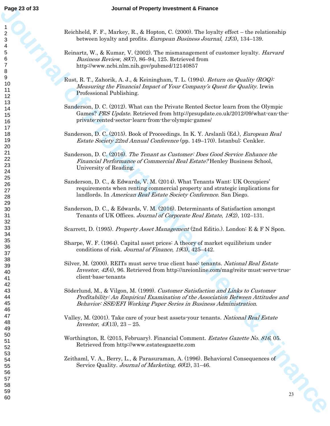- Reichheld, F. F., Markey, R., & Hopton, C. (2000). The loyalty effect the relationship between loyalty and profits. European Business Journal, 12(3), 134–139.
- Reinartz, W., & Kumar, V. (2002). The mismanagement of customer loyalty. Harvard *Business Review, 80*(7), 86–94, 125. Retrieved from http://www.ncbi.nlm.nih.gov/pubmed/12140857
- Rust, R. T., Zahorik, A. J., & Keiningham, T. L. (1994). Return on Quality (ROQ): Measuring the Financial Impact of Your Company's Quest for Quality. Irwin Professional Publishing.
- **Page 23 of 33**<br> **Journal of Property Investment & Finance**<br> **Journal of Property in the state of Property Constraints (Section 24 of 24 of 24 of 24 of 24 of 24 of 24 of 24 of 24 of 24 of 24 of 24 of 24 of 24 of 24 of 24 o** Sanderson, D. C. (2012). What can the Private Rented Sector learn from the Olympic Games? PRS Update. Retrieved from http://prsupdate.co.uk/2012/09/what-can-theprivate-rented-sector-learn-from-the-olympic-games/
	- Sanderson, D. C. (2015). Book of Proceedings. In K. Y. Arslanli (Ed.), European Real Estate Society 22nd Annual Conference (pp. 149–170). Istanbul: Cenkler.
	- Sanderson, D. C. (2016). The Tenant as Customer: Does Good Service Enhance the Financial Performance of Commercial Real Estate? Henley Business School, University of Reading.
	- Sanderson, D. C., & Edwards, V. M. (2014). What Tenants Want: UK Occupiers' requirements when renting commercial property and strategic implications for landlords. In American Real Estate Society Conference. San Diego.
	- Sanderson, D. C., & Edwards, V. M. (2016). Determinants of Satisfaction amongst Tenants of UK Offices. Journal of Corporate Real Estate, 18(2), 102–131.
	- Scarrett, D. (1995). Property Asset Management (2nd Editio.). London: E & F N Spon.
	- Sharpe, W. F. (1964). Capital asset prices: A theory of market equilibrium under conditions of risk. Journal of Finance,  $19(3)$ ,  $425-442$ .
	- Silver, M. (2000). REITs must serve true client base: tenants. National Real Estate Investor, 42(4), 96. Retrieved from http://nreionline.com/mag/reits-must-serve-trueclient-base-tenants
	- Söderlund, M., & Vilgon, M. (1999). Customer Satisfaction and Links to Customer Profitability: An Empirical Examination of the Association Between Attitudes and Behavior: SSE/EFI Working Paper Series in Business Administration.
	- Valley, M. (2001). Take care of your best assets-your tenants. National Real Estate *Investor*,  $43(13)$ ,  $23 - 25$ .
	- Worthington, R. (2015, February). Financial Comment. *Estates Gazette No. 816*, 05. Retrieved from http://www.estatesgazette.com
	- Zeithaml, V. A., Berry, L., & Parasuraman, A. (1996). Behavioral Consequences of Service Quality. Journal of Marketing, 60(2), 31–46.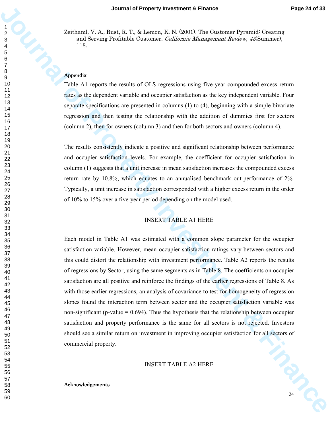Zeithaml, V. A., Rust, R. T., & Lemon, K. N. (2001). The Customer Pyramid: Creating and Serving Profitable Customer. California Management Review, 43(Summer), 118.

## **Appendix**

Table A1 reports the results of OLS regressions using five-year compounded excess return rates as the dependent variable and occupier satisfaction as the key independent variable. Four separate specifications are presented in columns (1) to (4), beginning with a simple bivariate regression and then testing the relationship with the addition of dummies first for sectors (column 2), then for owners (column 3) and then for both sectors and owners (column 4).

The results consistently indicate a positive and significant relationship between performance and occupier satisfaction levels. For example, the coefficient for occupier satisfaction in column (1) suggests that a unit increase in mean satisfaction increases the compounded excess return rate by 10.8%, which equates to an annualised benchmark out-performance of 2%. Typically, a unit increase in satisfaction corresponded with a higher excess return in the order of 10% to 15% over a five-year period depending on the model used.

# INSERT TABLE A1 HERE

**Journal of Property Investment & Finance**<br> **Journal of Property Constitution Journal of Constitution Journal of Constitution**<br> **Journal of Constitution Journal of Constitution Journal of Constitution**<br> **Journal of PARTNER** Each model in Table A1 was estimated with a common slope parameter for the occupier satisfaction variable. However, mean occupier satisfaction ratings vary between sectors and this could distort the relationship with investment performance. Table A2 reports the results of regressions by Sector, using the same segments as in Table 8. The coefficients on occupier satisfaction are all positive and reinforce the findings of the earlier regressions of Table 8. As with those earlier regressions, an analysis of covariance to test for homogeneity of regression slopes found the interaction term between sector and the occupier satisfaction variable was non-significant (p-value  $= 0.694$ ). Thus the hypothesis that the relationship between occupier satisfaction and property performance is the same for all sectors is not rejected. Investors should see a similar return on investment in improving occupier satisfaction for all sectors of commercial property.

INSERT TABLE A2 HERE

#### Acknowledgements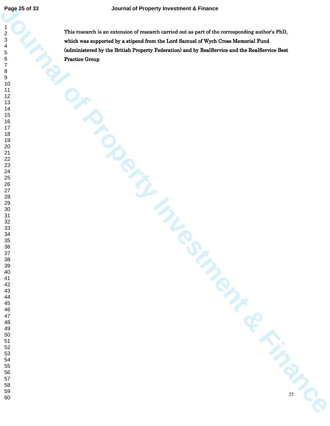> 

**Journal of Property Investment & Finance**<br> **Journal of Property Investment of The Communications of Property Account Communications and Law Branch Communications and Law Branch Communications and Law Branch Communications** This research is an extension of research carried out as part of the corresponding author's PhD, which was supported by a stipend from the Lord Samuel of Wych Cross Memorial Fund (administered by the British Property Federation) and by RealService and the RealService Best Practice Group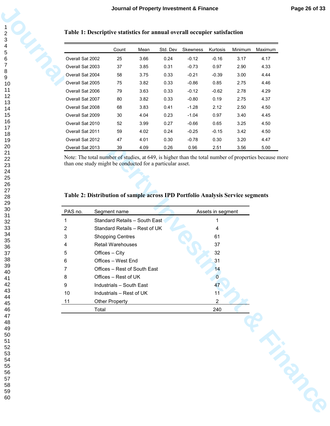| Table 1. Descriptive statistics for annual overall occupier satisfaction |       |      |                                   |  |     |
|--------------------------------------------------------------------------|-------|------|-----------------------------------|--|-----|
|                                                                          | Count | Mean | Std Dev Skewness Kurtosis Minimum |  | - M |

|                  |                       |                                                  |                                                                | Std. Dev                                                  |                                                                                |                     | Minimum | Maximum                                                                                               |
|------------------|-----------------------|--------------------------------------------------|----------------------------------------------------------------|-----------------------------------------------------------|--------------------------------------------------------------------------------|---------------------|---------|-------------------------------------------------------------------------------------------------------|
| Overall Sat 2002 |                       | Count<br>25                                      | Mean                                                           | 0.24                                                      | Skewness<br>$-0.12$                                                            | Kurtosis<br>$-0.16$ | 3.17    | 4.17                                                                                                  |
| Overall Sat 2003 |                       | 37                                               | 3.66<br>3.85                                                   | 0.31                                                      | $-0.73$                                                                        | 0.97                | 2.90    | 4.33                                                                                                  |
| Overall Sat 2004 |                       | 58                                               | 3.75                                                           | 0.33                                                      | $-0.21$                                                                        | $-0.39$             | 3.00    | 4.44                                                                                                  |
| Overall Sat 2005 |                       | 75                                               | 3.82                                                           | 0.33                                                      | $-0.86$                                                                        | 0.85                | 2.75    | 4.46                                                                                                  |
| Overall Sat 2006 |                       | 79                                               | 3.63                                                           | 0.33                                                      | $-0.12$                                                                        | $-0.62$             | 2.78    | 4.29                                                                                                  |
| Overall Sat 2007 |                       | 80                                               | 3.82                                                           | 0.33                                                      | $-0.80$                                                                        | 0.19                | 2.75    | 4.37                                                                                                  |
| Overall Sat 2008 |                       | 68                                               | 3.83                                                           | 0.41                                                      | $-1.28$                                                                        | 2.12                | 2.50    | 4.50                                                                                                  |
| Overall Sat 2009 |                       | 30                                               | 4.04                                                           | 0.23                                                      | $-1.04$                                                                        | 0.97                | 3.40    | 4.45                                                                                                  |
| Overall Sat 2010 |                       | 52                                               | 3.99                                                           | 0.27                                                      | $-0.66$                                                                        | 0.65                | 3.25    | 4.50                                                                                                  |
| Overall Sat 2011 |                       | 59                                               | 4.02                                                           | 0.24                                                      | $-0.25$                                                                        | $-0.15$             | 3.42    | 4.50                                                                                                  |
| Overall Sat 2012 |                       | 47                                               | 4.01                                                           | 0.30                                                      | $-0.78$                                                                        | 0.30                | 3.20    | 4.47                                                                                                  |
| Overall Sat 2013 |                       | 39                                               | 4.09                                                           | 0.26                                                      | 0.96                                                                           | 2.51                | 3.56    | 5.00                                                                                                  |
| PAS no.          |                       | Segment name                                     |                                                                | than one study might be conducted for a particular asset. | Table 2: Distribution of sample across IPD Portfolio Analysis Service segments | Assets in segment   |         |                                                                                                       |
| $\mathbf 1$<br>2 |                       |                                                  | Standard Retails - South East<br>Standard Retails - Rest of UK |                                                           |                                                                                | 1<br>4              |         | Note: The total number of studies, at 649, is higher than the total number of properties because more |
| 3                |                       | <b>Shopping Centres</b>                          |                                                                |                                                           |                                                                                | 61                  |         |                                                                                                       |
| 4                |                       | Retail Warehouses                                |                                                                |                                                           |                                                                                | 37                  |         |                                                                                                       |
| 5                | Offices - City        |                                                  |                                                                |                                                           |                                                                                | 32                  |         |                                                                                                       |
| 6                |                       | Offices - West End                               |                                                                |                                                           |                                                                                | 31                  |         |                                                                                                       |
| 7                |                       |                                                  | Offices - Rest of South East                                   |                                                           |                                                                                | 14                  |         |                                                                                                       |
| 8<br>9           |                       | Offices - Rest of UK<br>Industrials - South East |                                                                |                                                           |                                                                                | $\bf{0}$<br>47      |         |                                                                                                       |
| 10               |                       | Industrials - Rest of UK                         |                                                                |                                                           |                                                                                | 11                  |         |                                                                                                       |
| 11               | <b>Other Property</b> |                                                  |                                                                |                                                           |                                                                                | $\overline{2}$      |         |                                                                                                       |

# **Table 2: Distribution of sample across IPD Portfolio Analysis Service segments**

| PAS no. | Segment name                  | Assets in segment |
|---------|-------------------------------|-------------------|
|         | Standard Retails - South East |                   |
| 2       | Standard Retails - Rest of UK | 4                 |
| 3       | <b>Shopping Centres</b>       | 61                |
| 4       | Retail Warehouses             | 37                |
| 5       | Offices – City                | 32                |
| 6       | Offices – West End            | 31                |
|         | Offices – Rest of South East  | 14                |
| 8       | Offices – Rest of UK          | $\bf{0}$          |
| 9       | Industrials - South East      | 47                |
| 10      | Industrials - Rest of UK      | 11                |
| 11      | <b>Other Property</b>         | 2                 |
|         | Total                         | 240               |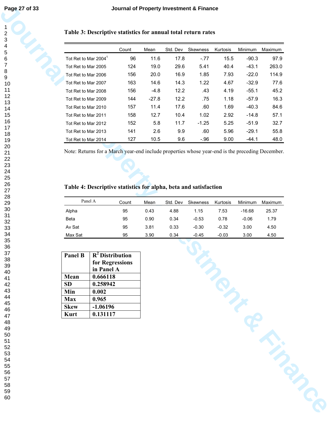|                                  | Count | Mean    | Std. Dev | <b>Skewness</b> | Kurtosis | Minimum | Maximum |
|----------------------------------|-------|---------|----------|-----------------|----------|---------|---------|
| Tot Ret to Mar 2004 <sup>1</sup> | 96    | 11.6    | 17.8     | $-.77$          | 15.5     | $-90.3$ | 97.9    |
| Tot Ret to Mar 2005              | 124   | 19.0    | 29.6     | 5.41            | 40.4     | $-43.1$ | 263.0   |
| Tot Ret to Mar 2006              | 156   | 20.0    | 16.9     | 1.85            | 7.93     | $-22.0$ | 114.9   |
| Tot Ret to Mar 2007              | 163   | 14.6    | 14.3     | 1.22            | 4.67     | $-32.9$ | 77.6    |
| Tot Ret to Mar 2008              | 156   | $-4.8$  | 12.2     | .43             | 4.19     | $-55.1$ | 45.2    |
| Tot Ret to Mar 2009              | 144   | $-27.8$ | 12.2     | .75             | 1.18     | $-57.9$ | 16.3    |
| Tot Ret to Mar 2010              | 157   | 11.4    | 17.6     | .60             | 1.69     | $-40.3$ | 84.6    |
| Tot Ret to Mar 2011              | 158   | 12.7    | 10.4     | 1.02            | 2.92     | $-14.8$ | 57.1    |
| Tot Ret to Mar 2012              | 152   | 5.8     | 11.7     | $-1.25$         | 5.25     | $-51.9$ | 32.7    |
| Tot Ret to Mar 2013              | 141   | 2.6     | 9.9      | .60             | 5.96     | $-29.1$ | 55.8    |
| Tot Ret to Mar 2014              | 127   | 10.5    | 9.6      | $-.96$          | 9.00     | $-44.1$ | 48.0    |

# **Table 3: Descriptive statistics for annual total return rates**

# **Table 4: Descriptive statistics for alpha, beta and sationally**

| Panel A | Count | Mean | Std. Dev | Skewness | Kurtosis | Minimum  | Maximum |
|---------|-------|------|----------|----------|----------|----------|---------|
| Alpha   | 95    | 0.43 | 4.88     | 1.15     | 7.53     | $-16.68$ | 25.37   |
| Beta    | 95    | 0.90 | 0.34     | $-0.53$  | 0.78     | $-0.06$  | 1.79    |
| Av Sat  | 95    | 3.81 | 0.33     | $-0.30$  | $-0.32$  | 3.00     | 4.50    |
| Max Sat | 95    | 3.90 | 0.34     | $-0.45$  | $-0.03$  | 3.00     | 4.50    |

| <b>Panel B</b> | $\overline{R}^2$ Distribution |
|----------------|-------------------------------|
|                | for Regressions               |
|                | in Panel A                    |
| Mean           | 0.666118                      |
| <b>SD</b>      | 0.258942                      |
| Min            | 0.002                         |
| Max            | 0.965                         |
| <b>Skew</b>    | $-1.06196$                    |
| <b>Kurt</b>    | 0.131117                      |

| Table 3: Descriptive statistics for annual total return rates<br>Mean<br>Std. Dev<br>Skewness<br>Minimum<br>Count<br>Kurtosis<br>Maximum<br>Tot Ret to Mar 2004 <sup>1</sup><br>11.6<br>$-90.3$<br>96<br>17.8<br>$-77$<br>15.5<br>97.9<br>5.41<br>Tot Ret to Mar 2005<br>19.0<br>29.6<br>40.4<br>$-43.1$<br>263.0<br>124<br>114.9<br>Tot Ret to Mar 2006<br>156<br>20.0<br>16.9<br>1.85<br>7.93<br>$-22.0$<br>14.6<br>1.22<br>$-32.9$<br>Tot Ret to Mar 2007<br>163<br>14.3<br>4.67<br>77.6<br>156<br>$-4.8$<br>12.2<br>.43<br>4.19<br>$-55.1$<br>45.2<br>Tot Ret to Mar 2008<br>$-27.8$<br>12.2<br>.75<br>1.18<br>$-57.9$<br>16.3<br>144<br>Tot Ret to Mar 2009<br>11.4<br>$-40.3$<br>17.6<br>.60<br>1.69<br>84.6<br>157<br>Tot Ret to Mar 2010<br>$-14.8$<br>158<br>12.7<br>10.4<br>1.02<br>2.92<br>57.1<br>Tot Ret to Mar 2011<br>152<br>5.8<br>11.7<br>$-1.25$<br>5.25<br>$-51.9$<br>32.7<br>Tot Ret to Mar 2012<br>141<br>2.6<br>9.9<br>.60<br>5.96<br>$-29.1$<br>55.8<br>Tot Ret to Mar 2013<br>127<br>10.5<br>9.6<br>$-.96$<br>9.00<br>$-44.1$<br>48.0<br>Tot Ret to Mar 2014<br>Note: Returns for a March year-end include properties whose year-end is the preceding December.<br>Table 4: Descriptive statistics for alpha, beta and satisfaction<br>Panel A<br>Count<br>Std. Dev<br>Mean<br>Skewness<br>Kurtosis<br>Minimum<br>Maximum<br>Alpha<br>95<br>0.43<br>4.88<br>1.15<br>7.53<br>$-16.68$<br>25.37<br>Beta<br>0.90<br>$-0.53$<br>0.78<br>$-0.06$<br>1.79<br>95<br>0.34<br>Av Sat<br>3.81<br>0.33<br>$-0.30$<br>$-0.32$<br>3.00<br>4.50<br>95<br>Max Sat<br>3.90<br>3.00<br>4.50<br>95<br>0.34<br>$-0.45$<br>$-0.03$<br>$R^2$ Distribution<br>Panel B<br>for Regressions<br>in Panel A<br>0.666118<br>Mean<br>SD<br>0.258942<br>Min<br>0.002<br>0.965<br><b>Max</b><br>$-1.06196$<br><b>Skew</b><br>0.131117<br><b>Kurt</b> | Stiment & Mindo |  |  | Journal of Property Investment & Finance |  |  |
|-----------------------------------------------------------------------------------------------------------------------------------------------------------------------------------------------------------------------------------------------------------------------------------------------------------------------------------------------------------------------------------------------------------------------------------------------------------------------------------------------------------------------------------------------------------------------------------------------------------------------------------------------------------------------------------------------------------------------------------------------------------------------------------------------------------------------------------------------------------------------------------------------------------------------------------------------------------------------------------------------------------------------------------------------------------------------------------------------------------------------------------------------------------------------------------------------------------------------------------------------------------------------------------------------------------------------------------------------------------------------------------------------------------------------------------------------------------------------------------------------------------------------------------------------------------------------------------------------------------------------------------------------------------------------------------------------------------------------------------------------------------------------------------------------------------------------------------------------|-----------------|--|--|------------------------------------------|--|--|
|                                                                                                                                                                                                                                                                                                                                                                                                                                                                                                                                                                                                                                                                                                                                                                                                                                                                                                                                                                                                                                                                                                                                                                                                                                                                                                                                                                                                                                                                                                                                                                                                                                                                                                                                                                                                                                               |                 |  |  |                                          |  |  |
|                                                                                                                                                                                                                                                                                                                                                                                                                                                                                                                                                                                                                                                                                                                                                                                                                                                                                                                                                                                                                                                                                                                                                                                                                                                                                                                                                                                                                                                                                                                                                                                                                                                                                                                                                                                                                                               |                 |  |  |                                          |  |  |
|                                                                                                                                                                                                                                                                                                                                                                                                                                                                                                                                                                                                                                                                                                                                                                                                                                                                                                                                                                                                                                                                                                                                                                                                                                                                                                                                                                                                                                                                                                                                                                                                                                                                                                                                                                                                                                               |                 |  |  |                                          |  |  |
|                                                                                                                                                                                                                                                                                                                                                                                                                                                                                                                                                                                                                                                                                                                                                                                                                                                                                                                                                                                                                                                                                                                                                                                                                                                                                                                                                                                                                                                                                                                                                                                                                                                                                                                                                                                                                                               |                 |  |  |                                          |  |  |
|                                                                                                                                                                                                                                                                                                                                                                                                                                                                                                                                                                                                                                                                                                                                                                                                                                                                                                                                                                                                                                                                                                                                                                                                                                                                                                                                                                                                                                                                                                                                                                                                                                                                                                                                                                                                                                               |                 |  |  |                                          |  |  |
|                                                                                                                                                                                                                                                                                                                                                                                                                                                                                                                                                                                                                                                                                                                                                                                                                                                                                                                                                                                                                                                                                                                                                                                                                                                                                                                                                                                                                                                                                                                                                                                                                                                                                                                                                                                                                                               |                 |  |  |                                          |  |  |
|                                                                                                                                                                                                                                                                                                                                                                                                                                                                                                                                                                                                                                                                                                                                                                                                                                                                                                                                                                                                                                                                                                                                                                                                                                                                                                                                                                                                                                                                                                                                                                                                                                                                                                                                                                                                                                               |                 |  |  |                                          |  |  |
|                                                                                                                                                                                                                                                                                                                                                                                                                                                                                                                                                                                                                                                                                                                                                                                                                                                                                                                                                                                                                                                                                                                                                                                                                                                                                                                                                                                                                                                                                                                                                                                                                                                                                                                                                                                                                                               |                 |  |  |                                          |  |  |
|                                                                                                                                                                                                                                                                                                                                                                                                                                                                                                                                                                                                                                                                                                                                                                                                                                                                                                                                                                                                                                                                                                                                                                                                                                                                                                                                                                                                                                                                                                                                                                                                                                                                                                                                                                                                                                               |                 |  |  |                                          |  |  |
|                                                                                                                                                                                                                                                                                                                                                                                                                                                                                                                                                                                                                                                                                                                                                                                                                                                                                                                                                                                                                                                                                                                                                                                                                                                                                                                                                                                                                                                                                                                                                                                                                                                                                                                                                                                                                                               |                 |  |  |                                          |  |  |
|                                                                                                                                                                                                                                                                                                                                                                                                                                                                                                                                                                                                                                                                                                                                                                                                                                                                                                                                                                                                                                                                                                                                                                                                                                                                                                                                                                                                                                                                                                                                                                                                                                                                                                                                                                                                                                               |                 |  |  |                                          |  |  |
|                                                                                                                                                                                                                                                                                                                                                                                                                                                                                                                                                                                                                                                                                                                                                                                                                                                                                                                                                                                                                                                                                                                                                                                                                                                                                                                                                                                                                                                                                                                                                                                                                                                                                                                                                                                                                                               |                 |  |  |                                          |  |  |
|                                                                                                                                                                                                                                                                                                                                                                                                                                                                                                                                                                                                                                                                                                                                                                                                                                                                                                                                                                                                                                                                                                                                                                                                                                                                                                                                                                                                                                                                                                                                                                                                                                                                                                                                                                                                                                               |                 |  |  |                                          |  |  |
|                                                                                                                                                                                                                                                                                                                                                                                                                                                                                                                                                                                                                                                                                                                                                                                                                                                                                                                                                                                                                                                                                                                                                                                                                                                                                                                                                                                                                                                                                                                                                                                                                                                                                                                                                                                                                                               |                 |  |  |                                          |  |  |
|                                                                                                                                                                                                                                                                                                                                                                                                                                                                                                                                                                                                                                                                                                                                                                                                                                                                                                                                                                                                                                                                                                                                                                                                                                                                                                                                                                                                                                                                                                                                                                                                                                                                                                                                                                                                                                               |                 |  |  |                                          |  |  |
|                                                                                                                                                                                                                                                                                                                                                                                                                                                                                                                                                                                                                                                                                                                                                                                                                                                                                                                                                                                                                                                                                                                                                                                                                                                                                                                                                                                                                                                                                                                                                                                                                                                                                                                                                                                                                                               |                 |  |  |                                          |  |  |
|                                                                                                                                                                                                                                                                                                                                                                                                                                                                                                                                                                                                                                                                                                                                                                                                                                                                                                                                                                                                                                                                                                                                                                                                                                                                                                                                                                                                                                                                                                                                                                                                                                                                                                                                                                                                                                               |                 |  |  |                                          |  |  |
|                                                                                                                                                                                                                                                                                                                                                                                                                                                                                                                                                                                                                                                                                                                                                                                                                                                                                                                                                                                                                                                                                                                                                                                                                                                                                                                                                                                                                                                                                                                                                                                                                                                                                                                                                                                                                                               |                 |  |  |                                          |  |  |
|                                                                                                                                                                                                                                                                                                                                                                                                                                                                                                                                                                                                                                                                                                                                                                                                                                                                                                                                                                                                                                                                                                                                                                                                                                                                                                                                                                                                                                                                                                                                                                                                                                                                                                                                                                                                                                               |                 |  |  |                                          |  |  |
|                                                                                                                                                                                                                                                                                                                                                                                                                                                                                                                                                                                                                                                                                                                                                                                                                                                                                                                                                                                                                                                                                                                                                                                                                                                                                                                                                                                                                                                                                                                                                                                                                                                                                                                                                                                                                                               |                 |  |  |                                          |  |  |
|                                                                                                                                                                                                                                                                                                                                                                                                                                                                                                                                                                                                                                                                                                                                                                                                                                                                                                                                                                                                                                                                                                                                                                                                                                                                                                                                                                                                                                                                                                                                                                                                                                                                                                                                                                                                                                               |                 |  |  |                                          |  |  |
|                                                                                                                                                                                                                                                                                                                                                                                                                                                                                                                                                                                                                                                                                                                                                                                                                                                                                                                                                                                                                                                                                                                                                                                                                                                                                                                                                                                                                                                                                                                                                                                                                                                                                                                                                                                                                                               |                 |  |  |                                          |  |  |
|                                                                                                                                                                                                                                                                                                                                                                                                                                                                                                                                                                                                                                                                                                                                                                                                                                                                                                                                                                                                                                                                                                                                                                                                                                                                                                                                                                                                                                                                                                                                                                                                                                                                                                                                                                                                                                               |                 |  |  |                                          |  |  |
|                                                                                                                                                                                                                                                                                                                                                                                                                                                                                                                                                                                                                                                                                                                                                                                                                                                                                                                                                                                                                                                                                                                                                                                                                                                                                                                                                                                                                                                                                                                                                                                                                                                                                                                                                                                                                                               |                 |  |  |                                          |  |  |
|                                                                                                                                                                                                                                                                                                                                                                                                                                                                                                                                                                                                                                                                                                                                                                                                                                                                                                                                                                                                                                                                                                                                                                                                                                                                                                                                                                                                                                                                                                                                                                                                                                                                                                                                                                                                                                               |                 |  |  |                                          |  |  |
|                                                                                                                                                                                                                                                                                                                                                                                                                                                                                                                                                                                                                                                                                                                                                                                                                                                                                                                                                                                                                                                                                                                                                                                                                                                                                                                                                                                                                                                                                                                                                                                                                                                                                                                                                                                                                                               |                 |  |  |                                          |  |  |
|                                                                                                                                                                                                                                                                                                                                                                                                                                                                                                                                                                                                                                                                                                                                                                                                                                                                                                                                                                                                                                                                                                                                                                                                                                                                                                                                                                                                                                                                                                                                                                                                                                                                                                                                                                                                                                               |                 |  |  |                                          |  |  |
|                                                                                                                                                                                                                                                                                                                                                                                                                                                                                                                                                                                                                                                                                                                                                                                                                                                                                                                                                                                                                                                                                                                                                                                                                                                                                                                                                                                                                                                                                                                                                                                                                                                                                                                                                                                                                                               |                 |  |  |                                          |  |  |
|                                                                                                                                                                                                                                                                                                                                                                                                                                                                                                                                                                                                                                                                                                                                                                                                                                                                                                                                                                                                                                                                                                                                                                                                                                                                                                                                                                                                                                                                                                                                                                                                                                                                                                                                                                                                                                               |                 |  |  |                                          |  |  |
|                                                                                                                                                                                                                                                                                                                                                                                                                                                                                                                                                                                                                                                                                                                                                                                                                                                                                                                                                                                                                                                                                                                                                                                                                                                                                                                                                                                                                                                                                                                                                                                                                                                                                                                                                                                                                                               |                 |  |  |                                          |  |  |
|                                                                                                                                                                                                                                                                                                                                                                                                                                                                                                                                                                                                                                                                                                                                                                                                                                                                                                                                                                                                                                                                                                                                                                                                                                                                                                                                                                                                                                                                                                                                                                                                                                                                                                                                                                                                                                               |                 |  |  |                                          |  |  |
|                                                                                                                                                                                                                                                                                                                                                                                                                                                                                                                                                                                                                                                                                                                                                                                                                                                                                                                                                                                                                                                                                                                                                                                                                                                                                                                                                                                                                                                                                                                                                                                                                                                                                                                                                                                                                                               |                 |  |  |                                          |  |  |
|                                                                                                                                                                                                                                                                                                                                                                                                                                                                                                                                                                                                                                                                                                                                                                                                                                                                                                                                                                                                                                                                                                                                                                                                                                                                                                                                                                                                                                                                                                                                                                                                                                                                                                                                                                                                                                               |                 |  |  |                                          |  |  |
|                                                                                                                                                                                                                                                                                                                                                                                                                                                                                                                                                                                                                                                                                                                                                                                                                                                                                                                                                                                                                                                                                                                                                                                                                                                                                                                                                                                                                                                                                                                                                                                                                                                                                                                                                                                                                                               |                 |  |  |                                          |  |  |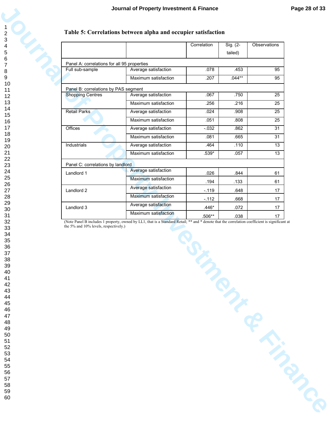| Table 5: Correlations between alpha and occupier satisfaction |  |  |  |  |  |  |  |  |  |  |  |  |
|---------------------------------------------------------------|--|--|--|--|--|--|--|--|--|--|--|--|
|---------------------------------------------------------------|--|--|--|--|--|--|--|--|--|--|--|--|

|                                             | Table 5: Correlations between alpha and occupier satisfaction |             |                     |                 |
|---------------------------------------------|---------------------------------------------------------------|-------------|---------------------|-----------------|
|                                             |                                                               | Correlation | Sig. (2-<br>tailed) | Observations    |
| Panel A: correlations for all 95 properties |                                                               |             |                     |                 |
| Full sub-sample                             | Average satisfaction                                          | .078        | .453                | 95              |
|                                             | Maximum satisfaction                                          | .207        | $.044**$            | 95              |
| Panel B: correlations by PAS segment        |                                                               |             |                     |                 |
| <b>Shopping Centres</b>                     | Average satisfaction                                          | .067        | .750                | 25              |
|                                             | Maximum satisfaction                                          | .256        | .216                | 25              |
| <b>Retail Parks</b>                         | Average satisfaction                                          | .024        | .908                | 25              |
|                                             | Maximum satisfaction                                          | .051        | .808                | $\overline{25}$ |
| Offices                                     | Average satisfaction                                          | $-0.032$    | .862                | 31              |
|                                             | Maximum satisfaction                                          | .081        | .665                | 31              |
| Industrials                                 | Average satisfaction                                          | .464        | .110                | 13              |
|                                             | Maximum satisfaction                                          | .539*       | .057                |                 |
|                                             |                                                               |             |                     | 13              |
| Panel C: correlations by landlord           |                                                               |             |                     |                 |
| Landlord 1                                  | Average satisfaction                                          | .026        | .844                | 61              |
|                                             | Maximum satisfaction                                          | .194        | .133                | 61              |
| Landlord 2                                  | Average satisfaction                                          | $-.119$     | .648                | 17              |
|                                             | Maximum satisfaction                                          | $-.112$     | .668                | 17              |
| Landlord 3                                  | Average satisfaction                                          | $.446*$     | .072                | 17              |
|                                             | Maximum satisfaction                                          | $.506**$    | .038                | 17              |
|                                             |                                                               |             |                     |                 |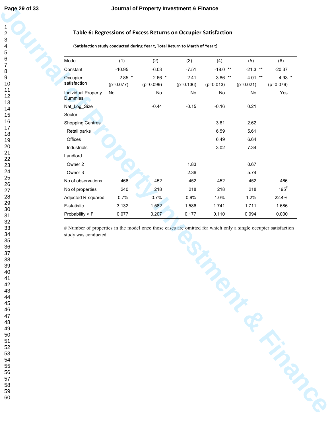# **Table 6: Regressions of Excess Returns on Occupier Satisfaction**

| A<br>Model<br>Constant<br>Occupier<br>satisfaction<br><b>Individual Property</b><br><b>Dummies</b><br>Nat_Log_Size<br>Sector<br><b>Shopping Centres</b><br>Retail parks<br>Offices<br>Industrials<br>Landlord | (1)<br>$-10.95$<br>$2.85$ *<br>$(p=0.077)$<br>No | Table 6: Regressions of Excess Returns on Occupier Satisfaction<br>(Satisfaction study conducted during Year t, Total Return to March of Year t)<br>(2)<br>$-6.03$<br>$2.66$ *<br>$(p=0.099)$<br>No<br>$-0.44$ | (3)<br>$-7.51$<br>2.41<br>$(p=0.136)$<br>No | (4)<br>$-18.0$ **<br>$3.86$ **<br>$(p=0.013)$ | (5)<br>$-21.3$ **<br>$4.01***$<br>$(p=0.021)$ | (6)<br>$-20.37$<br>4.93 $*$ |
|---------------------------------------------------------------------------------------------------------------------------------------------------------------------------------------------------------------|--------------------------------------------------|----------------------------------------------------------------------------------------------------------------------------------------------------------------------------------------------------------------|---------------------------------------------|-----------------------------------------------|-----------------------------------------------|-----------------------------|
|                                                                                                                                                                                                               |                                                  |                                                                                                                                                                                                                |                                             |                                               |                                               |                             |
|                                                                                                                                                                                                               |                                                  |                                                                                                                                                                                                                |                                             |                                               |                                               |                             |
|                                                                                                                                                                                                               |                                                  |                                                                                                                                                                                                                |                                             |                                               |                                               |                             |
|                                                                                                                                                                                                               |                                                  |                                                                                                                                                                                                                |                                             |                                               |                                               |                             |
|                                                                                                                                                                                                               |                                                  |                                                                                                                                                                                                                |                                             |                                               |                                               |                             |
|                                                                                                                                                                                                               |                                                  |                                                                                                                                                                                                                |                                             |                                               |                                               | $(p=0.079)$                 |
|                                                                                                                                                                                                               |                                                  |                                                                                                                                                                                                                |                                             | No                                            | No                                            | Yes                         |
|                                                                                                                                                                                                               |                                                  |                                                                                                                                                                                                                | $-0.15$                                     | $-0.16$                                       | 0.21                                          |                             |
|                                                                                                                                                                                                               |                                                  |                                                                                                                                                                                                                |                                             |                                               |                                               |                             |
|                                                                                                                                                                                                               |                                                  |                                                                                                                                                                                                                |                                             | 3.61                                          | 2.62                                          |                             |
|                                                                                                                                                                                                               |                                                  |                                                                                                                                                                                                                |                                             | 6.59                                          | 5.61                                          |                             |
|                                                                                                                                                                                                               |                                                  |                                                                                                                                                                                                                |                                             | 6.49                                          | 6.64                                          |                             |
|                                                                                                                                                                                                               |                                                  |                                                                                                                                                                                                                |                                             | 3.02                                          | 7.34                                          |                             |
|                                                                                                                                                                                                               |                                                  |                                                                                                                                                                                                                |                                             |                                               |                                               |                             |
| Owner 2                                                                                                                                                                                                       |                                                  |                                                                                                                                                                                                                | 1.83                                        |                                               | 0.67                                          |                             |
| Owner 3                                                                                                                                                                                                       |                                                  |                                                                                                                                                                                                                | $-2.36$                                     |                                               | $-5.74$                                       |                             |
| No of observations                                                                                                                                                                                            | 466                                              | 452                                                                                                                                                                                                            | 452                                         | 452                                           | 452                                           | 466                         |
| No of properties                                                                                                                                                                                              | 240                                              | 218                                                                                                                                                                                                            | 218                                         | 218                                           | 218                                           | $195^{\rm \#}$              |
| Adjusted R-squared                                                                                                                                                                                            | 0.7%                                             | 0.7%                                                                                                                                                                                                           | 0.9%                                        | 1.0%                                          | 1.2%                                          | 22.4%                       |
| F-statistic                                                                                                                                                                                                   | 3.132                                            | 1.582                                                                                                                                                                                                          | 1.586                                       | 1.741                                         | 1.711                                         | 1.686                       |
| Probability > F                                                                                                                                                                                               | 0.077                                            | 0.207                                                                                                                                                                                                          | 0.177                                       | 0.110                                         | 0.094                                         | 0.000                       |
| # Number of properties in the model once those cases are omitted for which only a single occupier satisfaction<br>study was conducted.                                                                        |                                                  |                                                                                                                                                                                                                |                                             |                                               |                                               |                             |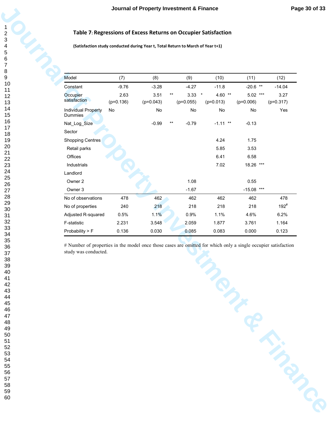#### **Table 7: Regressions of Excess Returns on Occupier Satisfaction**

| Table 7: Regressions of Excess Returns on Occupier Satisfaction<br>(Satisfaction study conducted during Year t, Total Return to March of Year t+1)<br>Model<br>(7)<br>(8)<br>(9)<br>(10)<br>(11)<br>(12)<br>$-20.6$ **<br>$-9.76$<br>$-3.28$<br>$-4.27$<br>$-11.8$<br>Constant<br>$-14.04$<br>2.63<br>3.51<br>$3.33$ *<br>4.60 **<br>$5.02$ ***<br>Occupier<br>$***$<br>3.27<br>satisfaction<br>$(p=0.136)$<br>$(p=0.043)$<br>$(p=0.055)$<br>$(p=0.013)$<br>$(p=0.317)$<br>$(p=0.006)$<br><b>Individual Property</b><br>$\mathsf{No}$<br>Yes<br>No<br>No<br>No<br>No<br>Dummies<br>$-1.11$ **<br>$-0.99$<br>$-0.79$<br>$-0.13$<br>Nat_Log_Size<br>$***$<br>Sector<br>4.24<br><b>Shopping Centres</b><br>1.75<br>5.85<br>3.53<br>Retail parks<br>6.41<br>6.58<br>Offices<br>7.02<br>18.26 ***<br>Industrials<br>Landlord<br>Owner 2<br>1.08<br>0.55<br>Owner 3<br>$-15.08$ ***<br>$-1.67$<br>No of observations<br>478<br>462<br>462<br>462<br>462<br>478<br>$192^{#}$<br>240<br>218<br>218<br>218<br>No of properties<br>218<br>6.2%<br>0.5%<br>1.1%<br>0.9%<br>1.1%<br>4.6%<br>Adjusted R-squared<br>F-statistic<br>2.059<br>1.164<br>2.231<br>3.548<br>1.877<br>3.761<br>0.123<br>Probability > F<br>0.136<br>0.030<br>0.085<br>0.083<br>0.000<br># Number of properties in the model once those cases are omitted for which only a single occupier satisfaction<br>study was conducted.<br>manus |  | Journal of Property Investment & Finance |  | Page 30 of 33 |
|-----------------------------------------------------------------------------------------------------------------------------------------------------------------------------------------------------------------------------------------------------------------------------------------------------------------------------------------------------------------------------------------------------------------------------------------------------------------------------------------------------------------------------------------------------------------------------------------------------------------------------------------------------------------------------------------------------------------------------------------------------------------------------------------------------------------------------------------------------------------------------------------------------------------------------------------------------------------------------------------------------------------------------------------------------------------------------------------------------------------------------------------------------------------------------------------------------------------------------------------------------------------------------------------------------------------------------------------------------------------------------------------------------|--|------------------------------------------|--|---------------|
|                                                                                                                                                                                                                                                                                                                                                                                                                                                                                                                                                                                                                                                                                                                                                                                                                                                                                                                                                                                                                                                                                                                                                                                                                                                                                                                                                                                                     |  |                                          |  |               |
|                                                                                                                                                                                                                                                                                                                                                                                                                                                                                                                                                                                                                                                                                                                                                                                                                                                                                                                                                                                                                                                                                                                                                                                                                                                                                                                                                                                                     |  |                                          |  |               |
|                                                                                                                                                                                                                                                                                                                                                                                                                                                                                                                                                                                                                                                                                                                                                                                                                                                                                                                                                                                                                                                                                                                                                                                                                                                                                                                                                                                                     |  |                                          |  |               |
|                                                                                                                                                                                                                                                                                                                                                                                                                                                                                                                                                                                                                                                                                                                                                                                                                                                                                                                                                                                                                                                                                                                                                                                                                                                                                                                                                                                                     |  |                                          |  |               |
|                                                                                                                                                                                                                                                                                                                                                                                                                                                                                                                                                                                                                                                                                                                                                                                                                                                                                                                                                                                                                                                                                                                                                                                                                                                                                                                                                                                                     |  |                                          |  |               |
|                                                                                                                                                                                                                                                                                                                                                                                                                                                                                                                                                                                                                                                                                                                                                                                                                                                                                                                                                                                                                                                                                                                                                                                                                                                                                                                                                                                                     |  |                                          |  |               |
|                                                                                                                                                                                                                                                                                                                                                                                                                                                                                                                                                                                                                                                                                                                                                                                                                                                                                                                                                                                                                                                                                                                                                                                                                                                                                                                                                                                                     |  |                                          |  |               |
|                                                                                                                                                                                                                                                                                                                                                                                                                                                                                                                                                                                                                                                                                                                                                                                                                                                                                                                                                                                                                                                                                                                                                                                                                                                                                                                                                                                                     |  |                                          |  |               |
|                                                                                                                                                                                                                                                                                                                                                                                                                                                                                                                                                                                                                                                                                                                                                                                                                                                                                                                                                                                                                                                                                                                                                                                                                                                                                                                                                                                                     |  |                                          |  |               |
|                                                                                                                                                                                                                                                                                                                                                                                                                                                                                                                                                                                                                                                                                                                                                                                                                                                                                                                                                                                                                                                                                                                                                                                                                                                                                                                                                                                                     |  |                                          |  |               |
|                                                                                                                                                                                                                                                                                                                                                                                                                                                                                                                                                                                                                                                                                                                                                                                                                                                                                                                                                                                                                                                                                                                                                                                                                                                                                                                                                                                                     |  |                                          |  |               |
|                                                                                                                                                                                                                                                                                                                                                                                                                                                                                                                                                                                                                                                                                                                                                                                                                                                                                                                                                                                                                                                                                                                                                                                                                                                                                                                                                                                                     |  |                                          |  |               |
|                                                                                                                                                                                                                                                                                                                                                                                                                                                                                                                                                                                                                                                                                                                                                                                                                                                                                                                                                                                                                                                                                                                                                                                                                                                                                                                                                                                                     |  |                                          |  |               |
|                                                                                                                                                                                                                                                                                                                                                                                                                                                                                                                                                                                                                                                                                                                                                                                                                                                                                                                                                                                                                                                                                                                                                                                                                                                                                                                                                                                                     |  |                                          |  |               |
|                                                                                                                                                                                                                                                                                                                                                                                                                                                                                                                                                                                                                                                                                                                                                                                                                                                                                                                                                                                                                                                                                                                                                                                                                                                                                                                                                                                                     |  |                                          |  |               |
|                                                                                                                                                                                                                                                                                                                                                                                                                                                                                                                                                                                                                                                                                                                                                                                                                                                                                                                                                                                                                                                                                                                                                                                                                                                                                                                                                                                                     |  |                                          |  |               |
|                                                                                                                                                                                                                                                                                                                                                                                                                                                                                                                                                                                                                                                                                                                                                                                                                                                                                                                                                                                                                                                                                                                                                                                                                                                                                                                                                                                                     |  |                                          |  |               |
|                                                                                                                                                                                                                                                                                                                                                                                                                                                                                                                                                                                                                                                                                                                                                                                                                                                                                                                                                                                                                                                                                                                                                                                                                                                                                                                                                                                                     |  |                                          |  |               |
|                                                                                                                                                                                                                                                                                                                                                                                                                                                                                                                                                                                                                                                                                                                                                                                                                                                                                                                                                                                                                                                                                                                                                                                                                                                                                                                                                                                                     |  |                                          |  |               |
|                                                                                                                                                                                                                                                                                                                                                                                                                                                                                                                                                                                                                                                                                                                                                                                                                                                                                                                                                                                                                                                                                                                                                                                                                                                                                                                                                                                                     |  |                                          |  |               |
|                                                                                                                                                                                                                                                                                                                                                                                                                                                                                                                                                                                                                                                                                                                                                                                                                                                                                                                                                                                                                                                                                                                                                                                                                                                                                                                                                                                                     |  |                                          |  |               |
|                                                                                                                                                                                                                                                                                                                                                                                                                                                                                                                                                                                                                                                                                                                                                                                                                                                                                                                                                                                                                                                                                                                                                                                                                                                                                                                                                                                                     |  |                                          |  |               |
|                                                                                                                                                                                                                                                                                                                                                                                                                                                                                                                                                                                                                                                                                                                                                                                                                                                                                                                                                                                                                                                                                                                                                                                                                                                                                                                                                                                                     |  |                                          |  |               |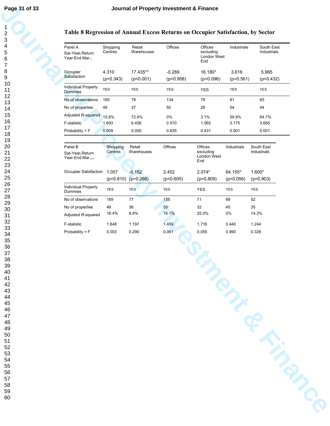# **Table 8 Regression of Annual Excess Returns on Occupier Satisfaction, by Sector**

| Page 31 of 33                                                                   |                      |                         | Journal of Property Investment & Finance |                                            |                        |                           |
|---------------------------------------------------------------------------------|----------------------|-------------------------|------------------------------------------|--------------------------------------------|------------------------|---------------------------|
| Table 8 Regression of Annual Excess Returns on Occupier Satisfaction, by Sector |                      |                         |                                          |                                            |                        |                           |
| Panel A<br>Sat-Year <sub>t</sub> Return<br>Year-End Mar <sub>t</sub>            | Shopping<br>Centres  | Retail<br>Warehouses    | Offices                                  | Offices<br>excluding<br>London West<br>End | Industrials            | South East<br>Industrials |
| Occupier<br>Satisfaction                                                        | 4.310<br>$(p=0.343)$ | 17.435**<br>$(p=0.001)$ | $-0.289$<br>$(p=0.958)$                  | 16.180*<br>$(p=0.096)$                     | 3.616<br>$(p=0.561)$   | 5.965<br>$(p=0.432)$      |
| Individual Property<br><b>Dummies</b>                                           | YES                  | YES                     | YES                                      | <b>YES</b>                                 | YES                    | YES                       |
| No of observations                                                              | 185                  | 78                      | 134                                      | 79                                         | 81                     | 65                        |
| No of properties                                                                | 48                   | $37\,$                  | 50                                       | 28                                         | 54                     | 44                        |
| Adjusted R-squared                                                              | 15.6%                | 72.4%                   | $0\%$                                    | 3.1%                                       | 59.9%                  | 64.7%                     |
| F-statistic                                                                     | 1.693                | 6.456                   | 0.910                                    | 1.065                                      | 3.175                  | 3.665                     |
| Probability > F                                                                 | 0.009                | 0.000                   | 0.635                                    | 0.431                                      | 0.001                  | 0.001                     |
| Panel B<br>Sat-Year <sub>t</sub> Return<br>Year-End Mar <sub>t+1</sub>          | Shopping<br>Centres  | Retail<br>Warehouses    | Offices                                  | Offices<br>excluding<br>London West<br>End | Industrials            | South East<br>Industrials |
| Occupier Satisfaction                                                           | 1.057<br>$(p=0.810)$ | $-6.152$<br>$(p=0.268)$ | 2.452<br>$(p=0.605)$                     | $2.074*$<br>$(p=0.809)$                    | 64.155*<br>$(p=0.056)$ | 1.600*<br>$(p=0.903)$     |
| Individual Property<br>Dummies                                                  | YES                  | <b>YES</b>              | YES                                      | YES                                        | YES                    | <b>YES</b>                |
| No of observations                                                              | 189                  | $77\,$                  | 135                                      | 71                                         | 68                     | 52                        |
| No of properties                                                                | 49                   | $36\,$                  | 55                                       | $32\,$                                     | 45                     | 35                        |
| Adjusted R-squared                                                              | 18.4%                | 8.8%                    | 16.1%                                    | 25.0%                                      | 0%                     | 14.3%                     |
| F-statistic                                                                     | 1.848                | 1.197                   | 1.459                                    | 1.716                                      | 0.440                  | 1.244                     |
| Probability > F                                                                 | 0.003                | 0.290                   | 0.061                                    | 0.055                                      | 0.990                  | 0.328                     |
|                                                                                 |                      |                         |                                          |                                            |                        |                           |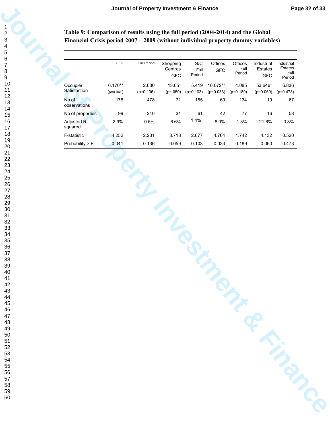# **Table 9: Comparison of results using the full period (2004-2014) and the Global Financial Crisis period 2007 – 2009 (without individual property dummy variables)**

| Table 9: Comparison of results using the full period (2004-2014) and the Global<br>Financial Crisis period 2007 - 2009 (without individual property dummy variables) |                          |                      |                                    |                                                                   |                         |                                                   |                                     |                                         |
|----------------------------------------------------------------------------------------------------------------------------------------------------------------------|--------------------------|----------------------|------------------------------------|-------------------------------------------------------------------|-------------------------|---------------------------------------------------|-------------------------------------|-----------------------------------------|
|                                                                                                                                                                      | GFC                      | Full Period          | Shopping<br>Centres<br>${\sf GFC}$ | $\mathbb{S}/\mathbb{C}$<br>$\ensuremath{\mathsf{Full}}$<br>Period | Offices<br>${\sf GFC}$  | Offices<br>$\ensuremath{\mathsf{Full}}$<br>Period | Industrial<br>Estates<br><b>GFC</b> | Industrial<br>Estates<br>Full<br>Period |
| Occupier<br>Satisfaction                                                                                                                                             | $6.170**$<br>$(p=0.041)$ | 2.630<br>$(p=0.136)$ | 13.65*<br>$(p=.059)$               | 5.419<br>$(p=0.103)$                                              | 10.072**<br>$(p=0.033)$ | 4.085<br>$(p=0.189)$                              | 53.646*<br>$(p=0.060)$              | 6.836<br>$(p=0.473)$                    |
| No of<br>observations                                                                                                                                                | 178                      | 478                  | 71                                 | 185                                                               | 69                      | 134                                               | 19                                  | 67                                      |
| No of properties                                                                                                                                                     | 99                       | 240                  | 31                                 | 61                                                                | 42                      | $77\,$                                            | 16                                  | 58                                      |
| Adjusted R-<br>squared                                                                                                                                               | 2.9%                     | 0.5%                 | 6.6%                               | 1.4%                                                              | 8.0%                    | 1.3%                                              | 21.6%                               | 0.8%                                    |
| F-statistic                                                                                                                                                          | 4.252                    | 2.231                | 3.718                              | 2.677                                                             | 4.764                   | 1.742                                             | 4.132                               | 0.520                                   |
| Probability > F                                                                                                                                                      | 0.041                    | 0.136                | 0.059                              | 0.103                                                             | 0.033                   | 0.189                                             | 0.060                               | 0.473                                   |
|                                                                                                                                                                      |                          | RIA MAR              |                                    |                                                                   |                         |                                                   |                                     |                                         |